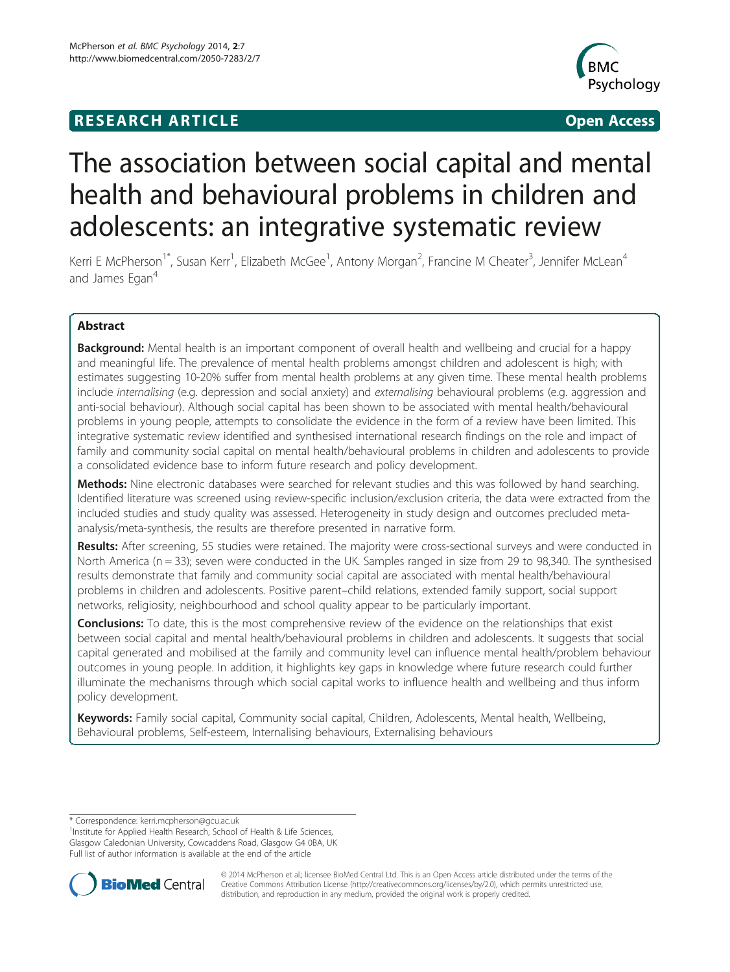# **RESEARCH ARTICLE CONSUMING A RESEARCH ARTICLE**



# The association between social capital and mental health and behavioural problems in children and adolescents: an integrative systematic review

Kerri E McPherson<sup>1\*</sup>, Susan Kerr<sup>1</sup>, Elizabeth McGee<sup>1</sup>, Antony Morgan<sup>2</sup>, Francine M Cheater<sup>3</sup>, Jennifer McLean<sup>4</sup> and James Egan<sup>4</sup>

# Abstract

**Background:** Mental health is an important component of overall health and wellbeing and crucial for a happy and meaningful life. The prevalence of mental health problems amongst children and adolescent is high; with estimates suggesting 10-20% suffer from mental health problems at any given time. These mental health problems include internalising (e.g. depression and social anxiety) and externalising behavioural problems (e.g. aggression and anti-social behaviour). Although social capital has been shown to be associated with mental health/behavioural problems in young people, attempts to consolidate the evidence in the form of a review have been limited. This integrative systematic review identified and synthesised international research findings on the role and impact of family and community social capital on mental health/behavioural problems in children and adolescents to provide a consolidated evidence base to inform future research and policy development.

Methods: Nine electronic databases were searched for relevant studies and this was followed by hand searching. Identified literature was screened using review-specific inclusion/exclusion criteria, the data were extracted from the included studies and study quality was assessed. Heterogeneity in study design and outcomes precluded metaanalysis/meta-synthesis, the results are therefore presented in narrative form.

Results: After screening, 55 studies were retained. The majority were cross-sectional surveys and were conducted in North America (n = 33); seven were conducted in the UK. Samples ranged in size from 29 to 98,340. The synthesised results demonstrate that family and community social capital are associated with mental health/behavioural problems in children and adolescents. Positive parent–child relations, extended family support, social support networks, religiosity, neighbourhood and school quality appear to be particularly important.

**Conclusions:** To date, this is the most comprehensive review of the evidence on the relationships that exist between social capital and mental health/behavioural problems in children and adolescents. It suggests that social capital generated and mobilised at the family and community level can influence mental health/problem behaviour outcomes in young people. In addition, it highlights key gaps in knowledge where future research could further illuminate the mechanisms through which social capital works to influence health and wellbeing and thus inform policy development.

Keywords: Family social capital, Community social capital, Children, Adolescents, Mental health, Wellbeing, Behavioural problems, Self-esteem, Internalising behaviours, Externalising behaviours

\* Correspondence: [kerri.mcpherson@gcu.ac.uk](mailto:kerri.mcpherson@gcu.ac.uk) <sup>1</sup>

<sup>1</sup> Institute for Applied Health Research, School of Health & Life Sciences, Glasgow Caledonian University, Cowcaddens Road, Glasgow G4 0BA, UK Full list of author information is available at the end of the article



© 2014 McPherson et al.; licensee BioMed Central Ltd. This is an Open Access article distributed under the terms of the Creative Commons Attribution License (<http://creativecommons.org/licenses/by/2.0>), which permits unrestricted use, distribution, and reproduction in any medium, provided the original work is properly credited.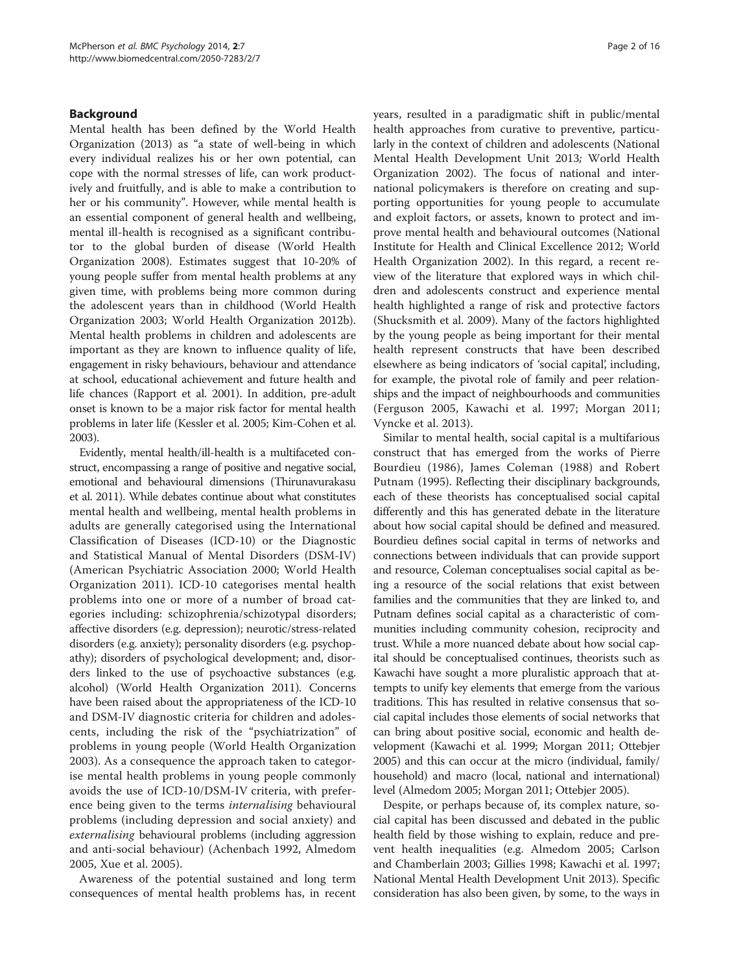# Background

Mental health has been defined by the World Health Organization ([2013\)](#page-15-0) as "a state of well-being in which every individual realizes his or her own potential, can cope with the normal stresses of life, can work productively and fruitfully, and is able to make a contribution to her or his community". However, while mental health is an essential component of general health and wellbeing, mental ill-health is recognised as a significant contributor to the global burden of disease (World Health Organization [2008](#page-15-0)). Estimates suggest that 10-20% of young people suffer from mental health problems at any given time, with problems being more common during the adolescent years than in childhood (World Health Organization [2003](#page-15-0); World Health Organization [2012b](#page-15-0)). Mental health problems in children and adolescents are important as they are known to influence quality of life, engagement in risky behaviours, behaviour and attendance at school, educational achievement and future health and life chances (Rapport et al. [2001](#page-15-0)). In addition, pre-adult onset is known to be a major risk factor for mental health problems in later life (Kessler et al. [2005](#page-14-0); Kim-Cohen et al. [2003\)](#page-14-0).

Evidently, mental health/ill-health is a multifaceted construct, encompassing a range of positive and negative social, emotional and behavioural dimensions (Thirunavurakasu et al. [2011](#page-15-0)). While debates continue about what constitutes mental health and wellbeing, mental health problems in adults are generally categorised using the International Classification of Diseases (ICD-10) or the Diagnostic and Statistical Manual of Mental Disorders (DSM-IV) (American Psychiatric Association [2000;](#page-13-0) World Health Organization [2011](#page-15-0)). ICD-10 categorises mental health problems into one or more of a number of broad categories including: schizophrenia/schizotypal disorders; affective disorders (e.g. depression); neurotic/stress-related disorders (e.g. anxiety); personality disorders (e.g. psychopathy); disorders of psychological development; and, disorders linked to the use of psychoactive substances (e.g. alcohol) (World Health Organization [2011](#page-15-0)). Concerns have been raised about the appropriateness of the ICD-10 and DSM-IV diagnostic criteria for children and adolescents, including the risk of the "psychiatrization" of problems in young people (World Health Organization [2003\)](#page-15-0). As a consequence the approach taken to categorise mental health problems in young people commonly avoids the use of ICD-10/DSM-IV criteria, with preference being given to the terms internalising behavioural problems (including depression and social anxiety) and externalising behavioural problems (including aggression and anti-social behaviour) (Achenbach [1992,](#page-13-0) Almedom [2005,](#page-13-0) Xue et al. [2005\)](#page-15-0).

Awareness of the potential sustained and long term consequences of mental health problems has, in recent years, resulted in a paradigmatic shift in public/mental health approaches from curative to preventive, particularly in the context of children and adolescents (National Mental Health Development Unit [2013](#page-15-0); World Health Organization [2002](#page-15-0)). The focus of national and international policymakers is therefore on creating and supporting opportunities for young people to accumulate and exploit factors, or assets, known to protect and improve mental health and behavioural outcomes (National Institute for Health and Clinical Excellence [2012;](#page-15-0) World Health Organization [2002\)](#page-15-0). In this regard, a recent review of the literature that explored ways in which children and adolescents construct and experience mental health highlighted a range of risk and protective factors (Shucksmith et al. [2009](#page-15-0)). Many of the factors highlighted by the young people as being important for their mental health represent constructs that have been described elsewhere as being indicators of 'social capital', including, for example, the pivotal role of family and peer relationships and the impact of neighbourhoods and communities (Ferguson [2005](#page-14-0), Kawachi et al. [1997;](#page-14-0) Morgan [2011](#page-14-0); Vyncke et al. [2013\)](#page-15-0).

Similar to mental health, social capital is a multifarious construct that has emerged from the works of Pierre Bourdieu [\(1986\)](#page-13-0), James Coleman [\(1988\)](#page-13-0) and Robert Putnam [\(1995](#page-15-0)). Reflecting their disciplinary backgrounds, each of these theorists has conceptualised social capital differently and this has generated debate in the literature about how social capital should be defined and measured. Bourdieu defines social capital in terms of networks and connections between individuals that can provide support and resource, Coleman conceptualises social capital as being a resource of the social relations that exist between families and the communities that they are linked to, and Putnam defines social capital as a characteristic of communities including community cohesion, reciprocity and trust. While a more nuanced debate about how social capital should be conceptualised continues, theorists such as Kawachi have sought a more pluralistic approach that attempts to unify key elements that emerge from the various traditions. This has resulted in relative consensus that social capital includes those elements of social networks that can bring about positive social, economic and health development (Kawachi et al. [1999;](#page-14-0) Morgan [2011;](#page-14-0) Ottebjer [2005](#page-15-0)) and this can occur at the micro (individual, family/ household) and macro (local, national and international) level (Almedom [2005](#page-13-0); Morgan [2011;](#page-14-0) Ottebjer [2005](#page-15-0)).

Despite, or perhaps because of, its complex nature, social capital has been discussed and debated in the public health field by those wishing to explain, reduce and prevent health inequalities (e.g. Almedom [2005](#page-13-0); Carlson and Chamberlain [2003](#page-13-0); Gillies [1998;](#page-14-0) Kawachi et al. [1997](#page-14-0); National Mental Health Development Unit [2013\)](#page-15-0). Specific consideration has also been given, by some, to the ways in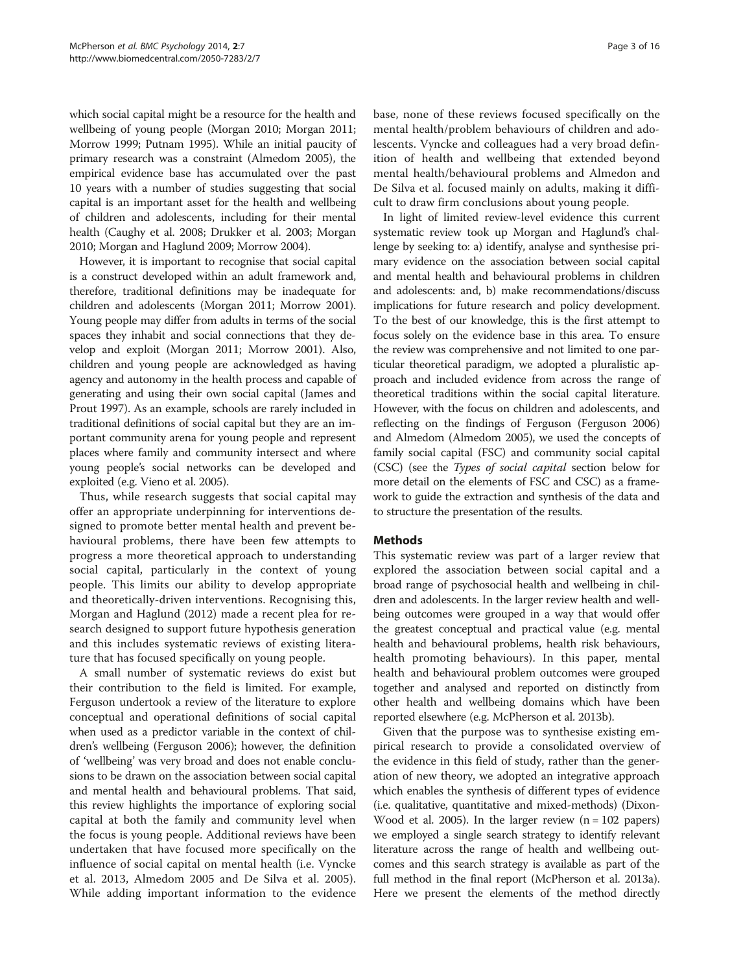which social capital might be a resource for the health and wellbeing of young people (Morgan [2010](#page-14-0); Morgan [2011](#page-14-0); Morrow [1999;](#page-14-0) Putnam [1995](#page-15-0)). While an initial paucity of primary research was a constraint (Almedom [2005](#page-13-0)), the empirical evidence base has accumulated over the past 10 years with a number of studies suggesting that social capital is an important asset for the health and wellbeing of children and adolescents, including for their mental health (Caughy et al. [2008;](#page-13-0) Drukker et al. [2003;](#page-14-0) Morgan [2010;](#page-14-0) Morgan and Haglund [2009;](#page-14-0) Morrow [2004](#page-14-0)).

However, it is important to recognise that social capital is a construct developed within an adult framework and, therefore, traditional definitions may be inadequate for children and adolescents (Morgan [2011](#page-14-0); Morrow [2001](#page-14-0)). Young people may differ from adults in terms of the social spaces they inhabit and social connections that they develop and exploit (Morgan [2011](#page-14-0); Morrow [2001\)](#page-14-0). Also, children and young people are acknowledged as having agency and autonomy in the health process and capable of generating and using their own social capital (James and Prout [1997](#page-14-0)). As an example, schools are rarely included in traditional definitions of social capital but they are an important community arena for young people and represent places where family and community intersect and where young people's social networks can be developed and exploited (e.g. Vieno et al. [2005\)](#page-15-0).

Thus, while research suggests that social capital may offer an appropriate underpinning for interventions designed to promote better mental health and prevent behavioural problems, there have been few attempts to progress a more theoretical approach to understanding social capital, particularly in the context of young people. This limits our ability to develop appropriate and theoretically-driven interventions. Recognising this, Morgan and Haglund ([2012\)](#page-14-0) made a recent plea for research designed to support future hypothesis generation and this includes systematic reviews of existing literature that has focused specifically on young people.

A small number of systematic reviews do exist but their contribution to the field is limited. For example, Ferguson undertook a review of the literature to explore conceptual and operational definitions of social capital when used as a predictor variable in the context of children's wellbeing (Ferguson [2006](#page-14-0)); however, the definition of 'wellbeing' was very broad and does not enable conclusions to be drawn on the association between social capital and mental health and behavioural problems. That said, this review highlights the importance of exploring social capital at both the family and community level when the focus is young people. Additional reviews have been undertaken that have focused more specifically on the influence of social capital on mental health (i.e. Vyncke et al. [2013,](#page-15-0) Almedom [2005](#page-13-0) and De Silva et al. [2005](#page-13-0)). While adding important information to the evidence

base, none of these reviews focused specifically on the mental health/problem behaviours of children and adolescents. Vyncke and colleagues had a very broad definition of health and wellbeing that extended beyond mental health/behavioural problems and Almedon and De Silva et al. focused mainly on adults, making it difficult to draw firm conclusions about young people.

In light of limited review-level evidence this current systematic review took up Morgan and Haglund's challenge by seeking to: a) identify, analyse and synthesise primary evidence on the association between social capital and mental health and behavioural problems in children and adolescents: and, b) make recommendations/discuss implications for future research and policy development. To the best of our knowledge, this is the first attempt to focus solely on the evidence base in this area. To ensure the review was comprehensive and not limited to one particular theoretical paradigm, we adopted a pluralistic approach and included evidence from across the range of theoretical traditions within the social capital literature. However, with the focus on children and adolescents, and reflecting on the findings of Ferguson (Ferguson [2006](#page-14-0)) and Almedom (Almedom [2005\)](#page-13-0), we used the concepts of family social capital (FSC) and community social capital (CSC) (see the Types of social capital section below for more detail on the elements of FSC and CSC) as a framework to guide the extraction and synthesis of the data and to structure the presentation of the results.

# Methods

This systematic review was part of a larger review that explored the association between social capital and a broad range of psychosocial health and wellbeing in children and adolescents. In the larger review health and wellbeing outcomes were grouped in a way that would offer the greatest conceptual and practical value (e.g. mental health and behavioural problems, health risk behaviours, health promoting behaviours). In this paper, mental health and behavioural problem outcomes were grouped together and analysed and reported on distinctly from other health and wellbeing domains which have been reported elsewhere (e.g. McPherson et al. [2013b](#page-14-0)).

Given that the purpose was to synthesise existing empirical research to provide a consolidated overview of the evidence in this field of study, rather than the generation of new theory, we adopted an integrative approach which enables the synthesis of different types of evidence (i.e. qualitative, quantitative and mixed-methods) (Dixon-Wood et al. [2005](#page-14-0)). In the larger review  $(n = 102$  papers) we employed a single search strategy to identify relevant literature across the range of health and wellbeing outcomes and this search strategy is available as part of the full method in the final report (McPherson et al. [2013a](#page-14-0)). Here we present the elements of the method directly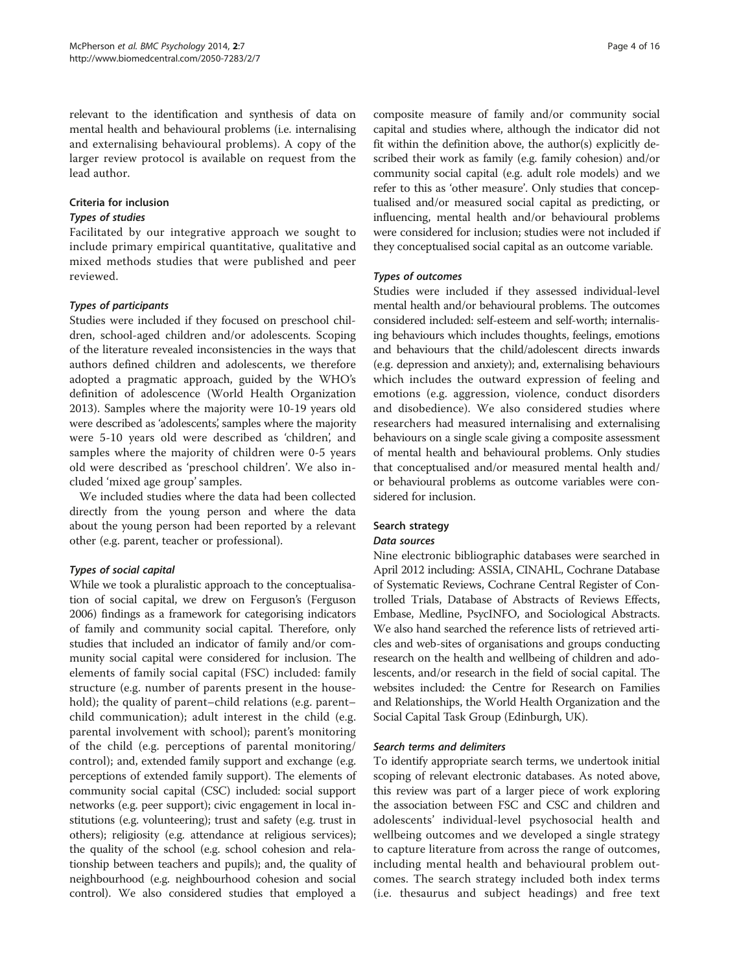relevant to the identification and synthesis of data on mental health and behavioural problems (i.e. internalising and externalising behavioural problems). A copy of the larger review protocol is available on request from the lead author.

# Criteria for inclusion

# Types of studies

Facilitated by our integrative approach we sought to include primary empirical quantitative, qualitative and mixed methods studies that were published and peer reviewed.

# Types of participants

Studies were included if they focused on preschool children, school-aged children and/or adolescents. Scoping of the literature revealed inconsistencies in the ways that authors defined children and adolescents, we therefore adopted a pragmatic approach, guided by the WHO's definition of adolescence (World Health Organization [2013](#page-15-0)). Samples where the majority were 10-19 years old were described as 'adolescents', samples where the majority were 5-10 years old were described as 'children', and samples where the majority of children were 0-5 years old were described as 'preschool children'. We also included 'mixed age group' samples.

We included studies where the data had been collected directly from the young person and where the data about the young person had been reported by a relevant other (e.g. parent, teacher or professional).

# Types of social capital

While we took a pluralistic approach to the conceptualisation of social capital, we drew on Ferguson's (Ferguson [2006\)](#page-14-0) findings as a framework for categorising indicators of family and community social capital. Therefore, only studies that included an indicator of family and/or community social capital were considered for inclusion. The elements of family social capital (FSC) included: family structure (e.g. number of parents present in the household); the quality of parent–child relations (e.g. parent– child communication); adult interest in the child (e.g. parental involvement with school); parent's monitoring of the child (e.g. perceptions of parental monitoring/ control); and, extended family support and exchange (e.g. perceptions of extended family support). The elements of community social capital (CSC) included: social support networks (e.g. peer support); civic engagement in local institutions (e.g. volunteering); trust and safety (e.g. trust in others); religiosity (e.g. attendance at religious services); the quality of the school (e.g. school cohesion and relationship between teachers and pupils); and, the quality of neighbourhood (e.g. neighbourhood cohesion and social control). We also considered studies that employed a

composite measure of family and/or community social capital and studies where, although the indicator did not fit within the definition above, the author(s) explicitly described their work as family (e.g. family cohesion) and/or community social capital (e.g. adult role models) and we refer to this as 'other measure'. Only studies that conceptualised and/or measured social capital as predicting, or influencing, mental health and/or behavioural problems were considered for inclusion; studies were not included if they conceptualised social capital as an outcome variable.

# Types of outcomes

Studies were included if they assessed individual-level mental health and/or behavioural problems. The outcomes considered included: self-esteem and self-worth; internalising behaviours which includes thoughts, feelings, emotions and behaviours that the child/adolescent directs inwards (e.g. depression and anxiety); and, externalising behaviours which includes the outward expression of feeling and emotions (e.g. aggression, violence, conduct disorders and disobedience). We also considered studies where researchers had measured internalising and externalising behaviours on a single scale giving a composite assessment of mental health and behavioural problems. Only studies that conceptualised and/or measured mental health and/ or behavioural problems as outcome variables were considered for inclusion.

# Search strategy

# Data sources

Nine electronic bibliographic databases were searched in April 2012 including: ASSIA, CINAHL, Cochrane Database of Systematic Reviews, Cochrane Central Register of Controlled Trials, Database of Abstracts of Reviews Effects, Embase, Medline, PsycINFO, and Sociological Abstracts. We also hand searched the reference lists of retrieved articles and web-sites of organisations and groups conducting research on the health and wellbeing of children and adolescents, and/or research in the field of social capital. The websites included: the Centre for Research on Families and Relationships, the World Health Organization and the Social Capital Task Group (Edinburgh, UK).

# Search terms and delimiters

To identify appropriate search terms, we undertook initial scoping of relevant electronic databases. As noted above, this review was part of a larger piece of work exploring the association between FSC and CSC and children and adolescents' individual-level psychosocial health and wellbeing outcomes and we developed a single strategy to capture literature from across the range of outcomes, including mental health and behavioural problem outcomes. The search strategy included both index terms (i.e. thesaurus and subject headings) and free text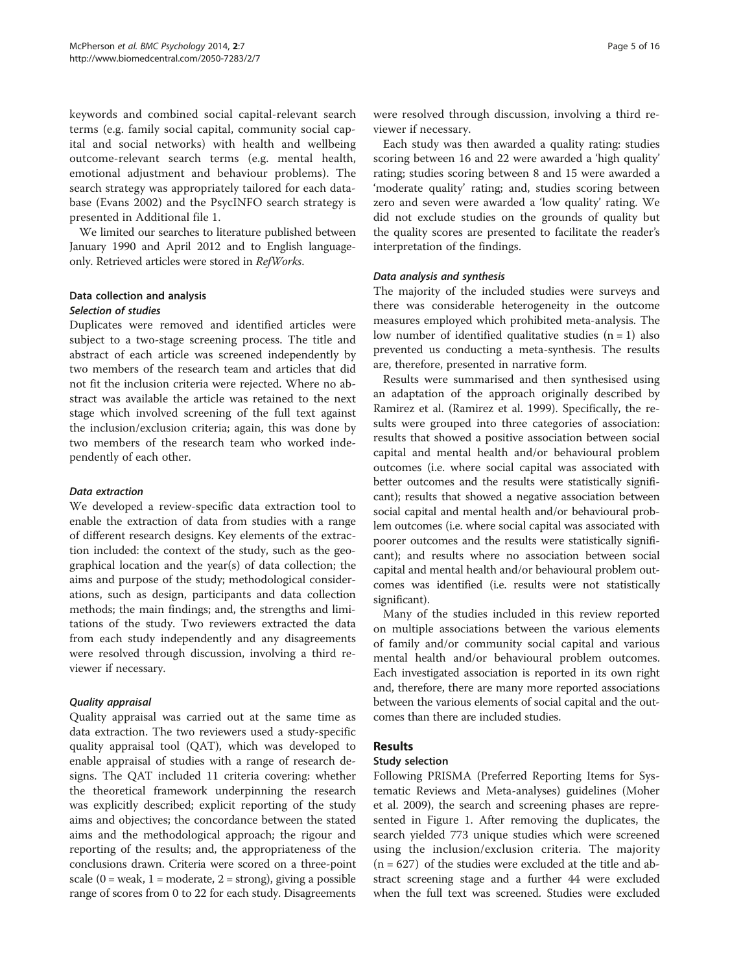keywords and combined social capital-relevant search terms (e.g. family social capital, community social capital and social networks) with health and wellbeing outcome-relevant search terms (e.g. mental health, emotional adjustment and behaviour problems). The search strategy was appropriately tailored for each database (Evans [2002](#page-14-0)) and the PsycINFO search strategy is presented in Additional file [1.](#page-13-0)

We limited our searches to literature published between January 1990 and April 2012 and to English languageonly. Retrieved articles were stored in RefWorks.

# Data collection and analysis Selection of studies

Duplicates were removed and identified articles were subject to a two-stage screening process. The title and abstract of each article was screened independently by two members of the research team and articles that did not fit the inclusion criteria were rejected. Where no abstract was available the article was retained to the next stage which involved screening of the full text against the inclusion/exclusion criteria; again, this was done by two members of the research team who worked independently of each other.

# Data extraction

We developed a review-specific data extraction tool to enable the extraction of data from studies with a range of different research designs. Key elements of the extraction included: the context of the study, such as the geographical location and the year(s) of data collection; the aims and purpose of the study; methodological considerations, such as design, participants and data collection methods; the main findings; and, the strengths and limitations of the study. Two reviewers extracted the data from each study independently and any disagreements were resolved through discussion, involving a third reviewer if necessary.

# Quality appraisal

Quality appraisal was carried out at the same time as data extraction. The two reviewers used a study-specific quality appraisal tool (QAT), which was developed to enable appraisal of studies with a range of research designs. The QAT included 11 criteria covering: whether the theoretical framework underpinning the research was explicitly described; explicit reporting of the study aims and objectives; the concordance between the stated aims and the methodological approach; the rigour and reporting of the results; and, the appropriateness of the conclusions drawn. Criteria were scored on a three-point scale  $(0 = \text{weak}, 1 = \text{moderate}, 2 = \text{strong})$ , giving a possible range of scores from 0 to 22 for each study. Disagreements

were resolved through discussion, involving a third reviewer if necessary.

Each study was then awarded a quality rating: studies scoring between 16 and 22 were awarded a 'high quality' rating; studies scoring between 8 and 15 were awarded a 'moderate quality' rating; and, studies scoring between zero and seven were awarded a 'low quality' rating. We did not exclude studies on the grounds of quality but the quality scores are presented to facilitate the reader's interpretation of the findings.

## Data analysis and synthesis

The majority of the included studies were surveys and there was considerable heterogeneity in the outcome measures employed which prohibited meta-analysis. The low number of identified qualitative studies  $(n = 1)$  also prevented us conducting a meta-synthesis. The results are, therefore, presented in narrative form.

Results were summarised and then synthesised using an adaptation of the approach originally described by Ramirez et al. (Ramirez et al. [1999](#page-15-0)). Specifically, the results were grouped into three categories of association: results that showed a positive association between social capital and mental health and/or behavioural problem outcomes (i.e. where social capital was associated with better outcomes and the results were statistically significant); results that showed a negative association between social capital and mental health and/or behavioural problem outcomes (i.e. where social capital was associated with poorer outcomes and the results were statistically significant); and results where no association between social capital and mental health and/or behavioural problem outcomes was identified (i.e. results were not statistically significant).

Many of the studies included in this review reported on multiple associations between the various elements of family and/or community social capital and various mental health and/or behavioural problem outcomes. Each investigated association is reported in its own right and, therefore, there are many more reported associations between the various elements of social capital and the outcomes than there are included studies.

# Results

# Study selection

Following PRISMA (Preferred Reporting Items for Systematic Reviews and Meta-analyses) guidelines (Moher et al. [2009\)](#page-14-0), the search and screening phases are represented in Figure [1.](#page-5-0) After removing the duplicates, the search yielded 773 unique studies which were screened using the inclusion/exclusion criteria. The majority  $(n = 627)$  of the studies were excluded at the title and abstract screening stage and a further 44 were excluded when the full text was screened. Studies were excluded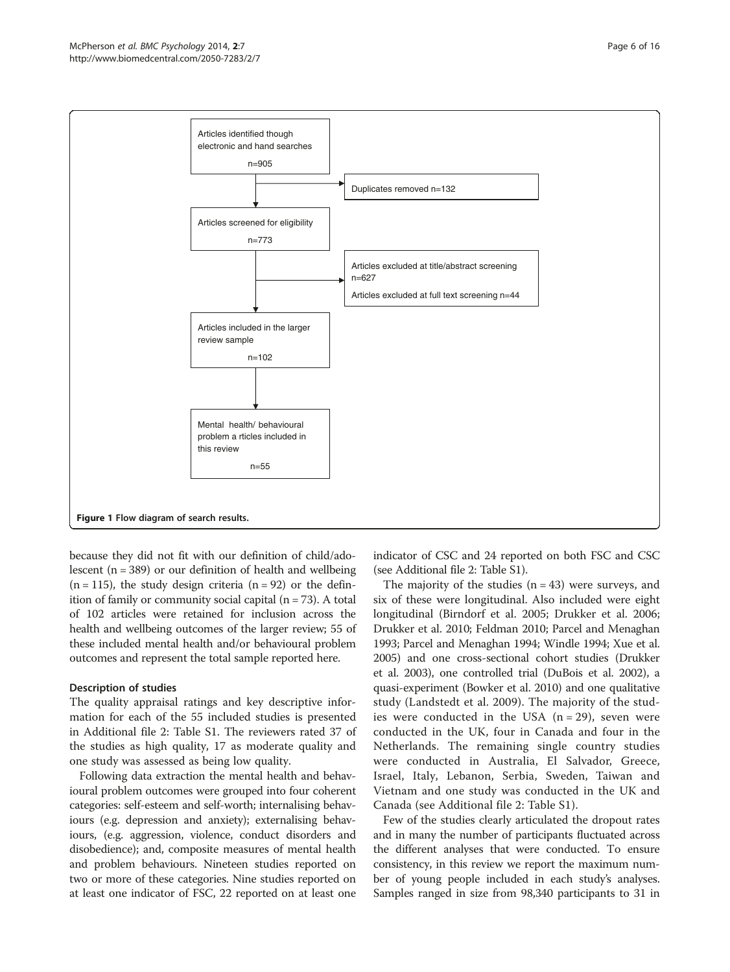<span id="page-5-0"></span>

because they did not fit with our definition of child/adolescent ( $n = 389$ ) or our definition of health and wellbeing  $(n = 115)$ , the study design criteria  $(n = 92)$  or the definition of family or community social capital  $(n = 73)$ . A total of 102 articles were retained for inclusion across the health and wellbeing outcomes of the larger review; 55 of these included mental health and/or behavioural problem outcomes and represent the total sample reported here.

# Description of studies

The quality appraisal ratings and key descriptive information for each of the 55 included studies is presented in Additional file [2:](#page-13-0) Table S1. The reviewers rated 37 of the studies as high quality, 17 as moderate quality and one study was assessed as being low quality.

Following data extraction the mental health and behavioural problem outcomes were grouped into four coherent categories: self-esteem and self-worth; internalising behaviours (e.g. depression and anxiety); externalising behaviours, (e.g. aggression, violence, conduct disorders and disobedience); and, composite measures of mental health and problem behaviours. Nineteen studies reported on two or more of these categories. Nine studies reported on at least one indicator of FSC, 22 reported on at least one indicator of CSC and 24 reported on both FSC and CSC (see Additional file [2](#page-13-0): Table S1).

The majority of the studies  $(n = 43)$  were surveys, and six of these were longitudinal. Also included were eight longitudinal (Birndorf et al. [2005;](#page-13-0) Drukker et al. [2006](#page-14-0); Drukker et al. [2010](#page-14-0); Feldman [2010](#page-14-0); Parcel and Menaghan [1993](#page-15-0); Parcel and Menaghan [1994;](#page-15-0) Windle [1994](#page-15-0); Xue et al. [2005](#page-15-0)) and one cross-sectional cohort studies (Drukker et al. [2003](#page-14-0)), one controlled trial (DuBois et al. [2002\)](#page-14-0), a quasi-experiment (Bowker et al. [2010\)](#page-13-0) and one qualitative study (Landstedt et al. [2009\)](#page-14-0). The majority of the studies were conducted in the USA  $(n = 29)$ , seven were conducted in the UK, four in Canada and four in the Netherlands. The remaining single country studies were conducted in Australia, El Salvador, Greece, Israel, Italy, Lebanon, Serbia, Sweden, Taiwan and Vietnam and one study was conducted in the UK and Canada (see Additional file [2:](#page-13-0) Table S1).

Few of the studies clearly articulated the dropout rates and in many the number of participants fluctuated across the different analyses that were conducted. To ensure consistency, in this review we report the maximum number of young people included in each study's analyses. Samples ranged in size from 98,340 participants to 31 in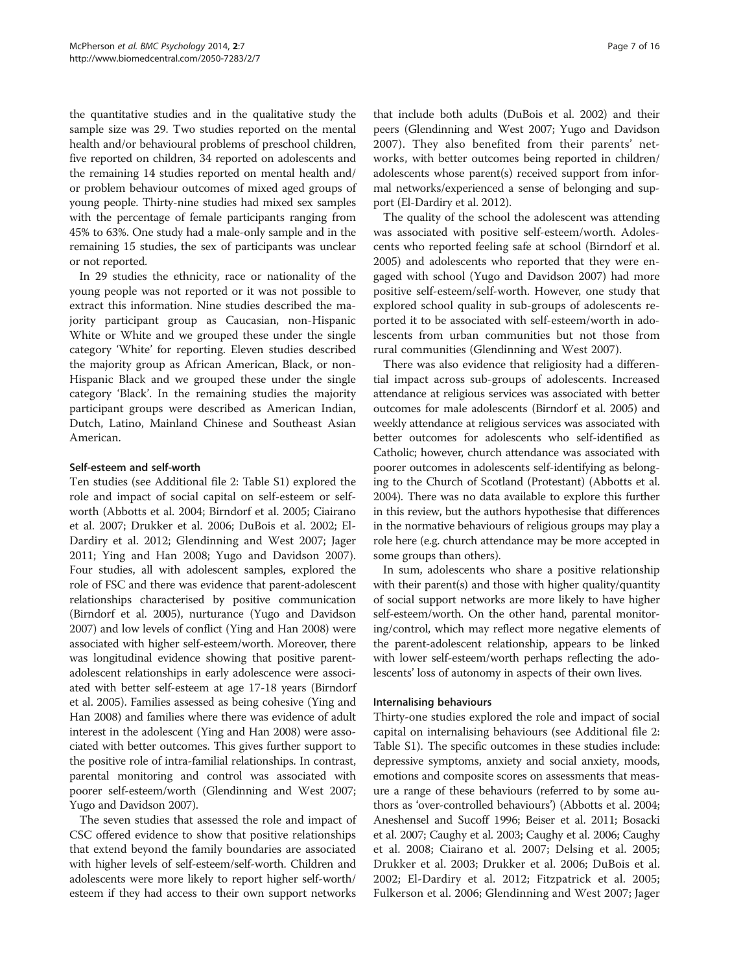the quantitative studies and in the qualitative study the sample size was 29. Two studies reported on the mental health and/or behavioural problems of preschool children, five reported on children, 34 reported on adolescents and the remaining 14 studies reported on mental health and/ or problem behaviour outcomes of mixed aged groups of young people. Thirty-nine studies had mixed sex samples with the percentage of female participants ranging from 45% to 63%. One study had a male-only sample and in the remaining 15 studies, the sex of participants was unclear or not reported.

In 29 studies the ethnicity, race or nationality of the young people was not reported or it was not possible to extract this information. Nine studies described the majority participant group as Caucasian, non-Hispanic White or White and we grouped these under the single category 'White' for reporting. Eleven studies described the majority group as African American, Black, or non-Hispanic Black and we grouped these under the single category 'Black'. In the remaining studies the majority participant groups were described as American Indian, Dutch, Latino, Mainland Chinese and Southeast Asian American.

# Self-esteem and self-worth

Ten studies (see Additional file [2:](#page-13-0) Table S1) explored the role and impact of social capital on self-esteem or selfworth (Abbotts et al. [2004](#page-13-0); Birndorf et al. [2005;](#page-13-0) Ciairano et al. [2007;](#page-13-0) Drukker et al. [2006;](#page-14-0) DuBois et al. [2002;](#page-14-0) El-Dardiry et al. [2012](#page-14-0); Glendinning and West [2007;](#page-14-0) Jager [2011](#page-14-0); Ying and Han [2008](#page-15-0); Yugo and Davidson [2007](#page-15-0)). Four studies, all with adolescent samples, explored the role of FSC and there was evidence that parent-adolescent relationships characterised by positive communication (Birndorf et al. [2005](#page-13-0)), nurturance (Yugo and Davidson [2007\)](#page-15-0) and low levels of conflict (Ying and Han [2008\)](#page-15-0) were associated with higher self-esteem/worth. Moreover, there was longitudinal evidence showing that positive parentadolescent relationships in early adolescence were associated with better self-esteem at age 17-18 years (Birndorf et al. [2005](#page-13-0)). Families assessed as being cohesive (Ying and Han [2008](#page-15-0)) and families where there was evidence of adult interest in the adolescent (Ying and Han [2008](#page-15-0)) were associated with better outcomes. This gives further support to the positive role of intra-familial relationships. In contrast, parental monitoring and control was associated with poorer self-esteem/worth (Glendinning and West [2007](#page-14-0); Yugo and Davidson [2007\)](#page-15-0).

The seven studies that assessed the role and impact of CSC offered evidence to show that positive relationships that extend beyond the family boundaries are associated with higher levels of self-esteem/self-worth. Children and adolescents were more likely to report higher self-worth/ esteem if they had access to their own support networks

that include both adults (DuBois et al. [2002\)](#page-14-0) and their peers (Glendinning and West [2007;](#page-14-0) Yugo and Davidson [2007](#page-15-0)). They also benefited from their parents' networks, with better outcomes being reported in children/ adolescents whose parent(s) received support from informal networks/experienced a sense of belonging and support (El-Dardiry et al. [2012](#page-14-0)).

The quality of the school the adolescent was attending was associated with positive self-esteem/worth. Adolescents who reported feeling safe at school (Birndorf et al. [2005](#page-13-0)) and adolescents who reported that they were engaged with school (Yugo and Davidson [2007\)](#page-15-0) had more positive self-esteem/self-worth. However, one study that explored school quality in sub-groups of adolescents reported it to be associated with self-esteem/worth in adolescents from urban communities but not those from rural communities (Glendinning and West [2007](#page-14-0)).

There was also evidence that religiosity had a differential impact across sub-groups of adolescents. Increased attendance at religious services was associated with better outcomes for male adolescents (Birndorf et al. [2005](#page-13-0)) and weekly attendance at religious services was associated with better outcomes for adolescents who self-identified as Catholic; however, church attendance was associated with poorer outcomes in adolescents self-identifying as belonging to the Church of Scotland (Protestant) (Abbotts et al. [2004](#page-13-0)). There was no data available to explore this further in this review, but the authors hypothesise that differences in the normative behaviours of religious groups may play a role here (e.g. church attendance may be more accepted in some groups than others).

In sum, adolescents who share a positive relationship with their parent(s) and those with higher quality/quantity of social support networks are more likely to have higher self-esteem/worth. On the other hand, parental monitoring/control, which may reflect more negative elements of the parent-adolescent relationship, appears to be linked with lower self-esteem/worth perhaps reflecting the adolescents' loss of autonomy in aspects of their own lives.

#### Internalising behaviours

Thirty-one studies explored the role and impact of social capital on internalising behaviours (see Additional file [2](#page-13-0): Table S1). The specific outcomes in these studies include: depressive symptoms, anxiety and social anxiety, moods, emotions and composite scores on assessments that measure a range of these behaviours (referred to by some authors as 'over-controlled behaviours') (Abbotts et al. [2004](#page-13-0); Aneshensel and Sucoff [1996](#page-13-0); Beiser et al. [2011;](#page-13-0) Bosacki et al. [2007;](#page-13-0) Caughy et al. [2003;](#page-13-0) Caughy et al. [2006](#page-13-0); Caughy et al. [2008;](#page-13-0) Ciairano et al. [2007](#page-13-0); Delsing et al. [2005](#page-14-0); Drukker et al. [2003](#page-14-0); Drukker et al. [2006](#page-14-0); DuBois et al. [2002;](#page-14-0) El-Dardiry et al. [2012](#page-14-0); Fitzpatrick et al. [2005](#page-14-0); Fulkerson et al. [2006](#page-14-0); Glendinning and West [2007](#page-14-0); Jager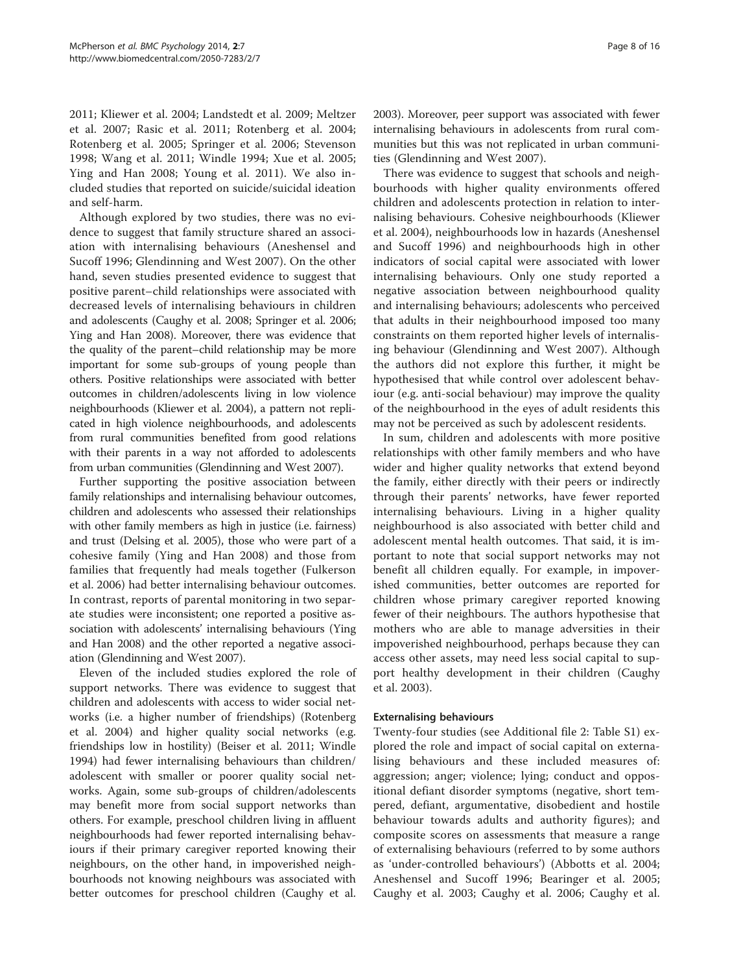[2011;](#page-14-0) Kliewer et al. [2004](#page-14-0); Landstedt et al. [2009](#page-14-0); Meltzer et al. [2007](#page-14-0); Rasic et al. [2011;](#page-15-0) Rotenberg et al. [2004](#page-15-0); Rotenberg et al. [2005;](#page-15-0) Springer et al. [2006;](#page-15-0) Stevenson [1998;](#page-15-0) Wang et al. [2011](#page-15-0); Windle [1994;](#page-15-0) Xue et al. [2005](#page-15-0); Ying and Han [2008](#page-15-0); Young et al. [2011](#page-15-0)). We also included studies that reported on suicide/suicidal ideation and self-harm.

Although explored by two studies, there was no evidence to suggest that family structure shared an association with internalising behaviours (Aneshensel and Sucoff [1996;](#page-13-0) Glendinning and West [2007](#page-14-0)). On the other hand, seven studies presented evidence to suggest that positive parent–child relationships were associated with decreased levels of internalising behaviours in children and adolescents (Caughy et al. [2008](#page-13-0); Springer et al. [2006](#page-15-0); Ying and Han [2008\)](#page-15-0). Moreover, there was evidence that the quality of the parent–child relationship may be more important for some sub-groups of young people than others. Positive relationships were associated with better outcomes in children/adolescents living in low violence neighbourhoods (Kliewer et al. [2004\)](#page-14-0), a pattern not replicated in high violence neighbourhoods, and adolescents from rural communities benefited from good relations with their parents in a way not afforded to adolescents from urban communities (Glendinning and West [2007](#page-14-0)).

Further supporting the positive association between family relationships and internalising behaviour outcomes, children and adolescents who assessed their relationships with other family members as high in justice (i.e. fairness) and trust (Delsing et al. [2005](#page-14-0)), those who were part of a cohesive family (Ying and Han [2008\)](#page-15-0) and those from families that frequently had meals together (Fulkerson et al. [2006](#page-14-0)) had better internalising behaviour outcomes. In contrast, reports of parental monitoring in two separate studies were inconsistent; one reported a positive association with adolescents' internalising behaviours (Ying and Han [2008](#page-15-0)) and the other reported a negative association (Glendinning and West [2007](#page-14-0)).

Eleven of the included studies explored the role of support networks. There was evidence to suggest that children and adolescents with access to wider social networks (i.e. a higher number of friendships) (Rotenberg et al. [2004](#page-15-0)) and higher quality social networks (e.g. friendships low in hostility) (Beiser et al. [2011](#page-13-0); Windle [1994](#page-15-0)) had fewer internalising behaviours than children/ adolescent with smaller or poorer quality social networks. Again, some sub-groups of children/adolescents may benefit more from social support networks than others. For example, preschool children living in affluent neighbourhoods had fewer reported internalising behaviours if their primary caregiver reported knowing their neighbours, on the other hand, in impoverished neighbourhoods not knowing neighbours was associated with better outcomes for preschool children (Caughy et al. [2003](#page-13-0)). Moreover, peer support was associated with fewer internalising behaviours in adolescents from rural communities but this was not replicated in urban communities (Glendinning and West [2007](#page-14-0)).

There was evidence to suggest that schools and neighbourhoods with higher quality environments offered children and adolescents protection in relation to internalising behaviours. Cohesive neighbourhoods (Kliewer et al. [2004](#page-14-0)), neighbourhoods low in hazards (Aneshensel and Sucoff [1996](#page-13-0)) and neighbourhoods high in other indicators of social capital were associated with lower internalising behaviours. Only one study reported a negative association between neighbourhood quality and internalising behaviours; adolescents who perceived that adults in their neighbourhood imposed too many constraints on them reported higher levels of internalising behaviour (Glendinning and West [2007](#page-14-0)). Although the authors did not explore this further, it might be hypothesised that while control over adolescent behaviour (e.g. anti-social behaviour) may improve the quality of the neighbourhood in the eyes of adult residents this may not be perceived as such by adolescent residents.

In sum, children and adolescents with more positive relationships with other family members and who have wider and higher quality networks that extend beyond the family, either directly with their peers or indirectly through their parents' networks, have fewer reported internalising behaviours. Living in a higher quality neighbourhood is also associated with better child and adolescent mental health outcomes. That said, it is important to note that social support networks may not benefit all children equally. For example, in impoverished communities, better outcomes are reported for children whose primary caregiver reported knowing fewer of their neighbours. The authors hypothesise that mothers who are able to manage adversities in their impoverished neighbourhood, perhaps because they can access other assets, may need less social capital to support healthy development in their children (Caughy et al. [2003](#page-13-0)).

#### Externalising behaviours

Twenty-four studies (see Additional file [2:](#page-13-0) Table S1) explored the role and impact of social capital on externalising behaviours and these included measures of: aggression; anger; violence; lying; conduct and oppositional defiant disorder symptoms (negative, short tempered, defiant, argumentative, disobedient and hostile behaviour towards adults and authority figures); and composite scores on assessments that measure a range of externalising behaviours (referred to by some authors as 'under-controlled behaviours') (Abbotts et al. [2004](#page-13-0); Aneshensel and Sucoff [1996](#page-13-0); Bearinger et al. [2005](#page-13-0); Caughy et al. [2003](#page-13-0); Caughy et al. [2006;](#page-13-0) Caughy et al.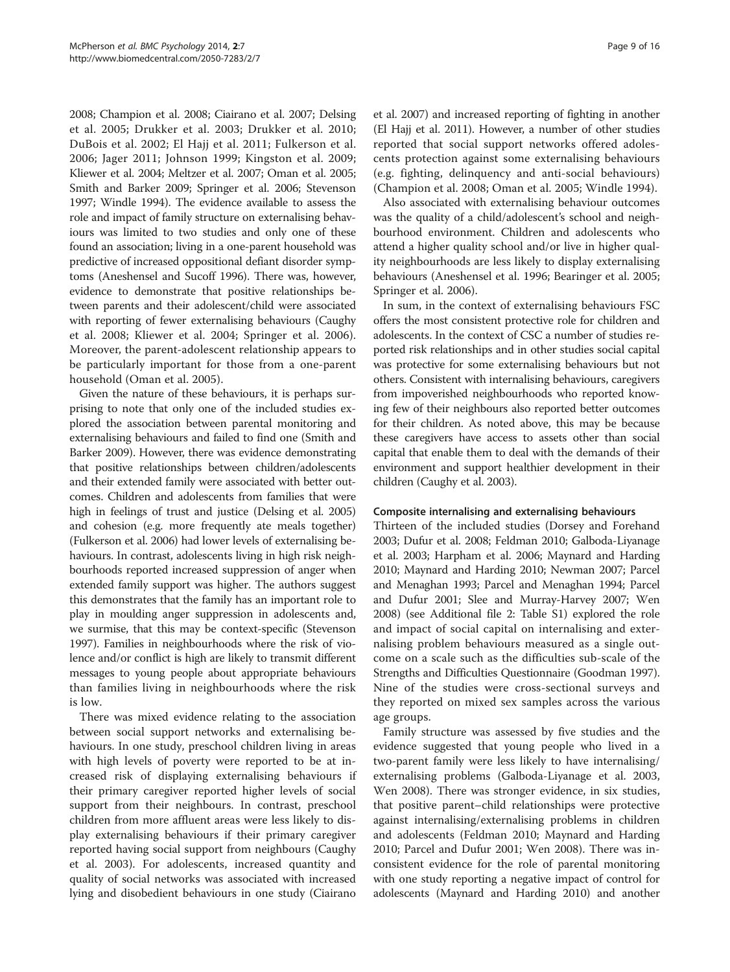[2008;](#page-13-0) Champion et al. [2008;](#page-13-0) Ciairano et al. [2007](#page-13-0); Delsing et al. [2005](#page-14-0); Drukker et al. [2003;](#page-14-0) Drukker et al. [2010](#page-14-0); DuBois et al. [2002;](#page-14-0) El Hajj et al. [2011;](#page-14-0) Fulkerson et al. [2006](#page-14-0); Jager [2011;](#page-14-0) Johnson [1999;](#page-14-0) Kingston et al. [2009](#page-14-0); Kliewer et al. [2004](#page-14-0); Meltzer et al. [2007;](#page-14-0) Oman et al. [2005](#page-15-0); Smith and Barker [2009](#page-15-0); Springer et al. [2006](#page-15-0); Stevenson [1997;](#page-15-0) Windle [1994](#page-15-0)). The evidence available to assess the role and impact of family structure on externalising behaviours was limited to two studies and only one of these found an association; living in a one-parent household was predictive of increased oppositional defiant disorder symptoms (Aneshensel and Sucoff [1996\)](#page-13-0). There was, however, evidence to demonstrate that positive relationships between parents and their adolescent/child were associated with reporting of fewer externalising behaviours (Caughy et al. [2008;](#page-13-0) Kliewer et al. [2004](#page-14-0); Springer et al. [2006](#page-15-0)). Moreover, the parent-adolescent relationship appears to be particularly important for those from a one-parent household (Oman et al. [2005\)](#page-15-0).

Given the nature of these behaviours, it is perhaps surprising to note that only one of the included studies explored the association between parental monitoring and externalising behaviours and failed to find one (Smith and Barker [2009](#page-15-0)). However, there was evidence demonstrating that positive relationships between children/adolescents and their extended family were associated with better outcomes. Children and adolescents from families that were high in feelings of trust and justice (Delsing et al. [2005](#page-14-0)) and cohesion (e.g. more frequently ate meals together) (Fulkerson et al. [2006](#page-14-0)) had lower levels of externalising behaviours. In contrast, adolescents living in high risk neighbourhoods reported increased suppression of anger when extended family support was higher. The authors suggest this demonstrates that the family has an important role to play in moulding anger suppression in adolescents and, we surmise, that this may be context-specific (Stevenson [1997\)](#page-15-0). Families in neighbourhoods where the risk of violence and/or conflict is high are likely to transmit different messages to young people about appropriate behaviours than families living in neighbourhoods where the risk is low.

There was mixed evidence relating to the association between social support networks and externalising behaviours. In one study, preschool children living in areas with high levels of poverty were reported to be at increased risk of displaying externalising behaviours if their primary caregiver reported higher levels of social support from their neighbours. In contrast, preschool children from more affluent areas were less likely to display externalising behaviours if their primary caregiver reported having social support from neighbours (Caughy et al. [2003](#page-13-0)). For adolescents, increased quantity and quality of social networks was associated with increased lying and disobedient behaviours in one study (Ciairano et al. [2007\)](#page-13-0) and increased reporting of fighting in another (El Hajj et al. [2011](#page-14-0)). However, a number of other studies reported that social support networks offered adolescents protection against some externalising behaviours (e.g. fighting, delinquency and anti-social behaviours) (Champion et al. [2008;](#page-13-0) Oman et al. [2005;](#page-15-0) Windle [1994](#page-15-0)).

Also associated with externalising behaviour outcomes was the quality of a child/adolescent's school and neighbourhood environment. Children and adolescents who attend a higher quality school and/or live in higher quality neighbourhoods are less likely to display externalising behaviours (Aneshensel et al. [1996;](#page-13-0) Bearinger et al. [2005](#page-13-0); Springer et al. [2006](#page-15-0)).

In sum, in the context of externalising behaviours FSC offers the most consistent protective role for children and adolescents. In the context of CSC a number of studies reported risk relationships and in other studies social capital was protective for some externalising behaviours but not others. Consistent with internalising behaviours, caregivers from impoverished neighbourhoods who reported knowing few of their neighbours also reported better outcomes for their children. As noted above, this may be because these caregivers have access to assets other than social capital that enable them to deal with the demands of their environment and support healthier development in their children (Caughy et al. [2003\)](#page-13-0).

#### Composite internalising and externalising behaviours

Thirteen of the included studies (Dorsey and Forehand [2003](#page-14-0); Dufur et al. [2008;](#page-14-0) Feldman [2010](#page-14-0); Galboda-Liyanage et al. [2003](#page-14-0); Harpham et al. [2006;](#page-14-0) Maynard and Harding [2010](#page-14-0); Maynard and Harding [2010;](#page-14-0) Newman [2007](#page-15-0); Parcel and Menaghan [1993](#page-15-0); Parcel and Menaghan [1994](#page-15-0); Parcel and Dufur [2001](#page-15-0); Slee and Murray-Harvey [2007](#page-15-0); Wen [2008](#page-15-0)) (see Additional file [2](#page-13-0): Table S1) explored the role and impact of social capital on internalising and externalising problem behaviours measured as a single outcome on a scale such as the difficulties sub-scale of the Strengths and Difficulties Questionnaire (Goodman [1997](#page-14-0)). Nine of the studies were cross-sectional surveys and they reported on mixed sex samples across the various age groups.

Family structure was assessed by five studies and the evidence suggested that young people who lived in a two-parent family were less likely to have internalising/ externalising problems (Galboda-Liyanage et al. [2003](#page-14-0), Wen [2008\)](#page-15-0). There was stronger evidence, in six studies, that positive parent–child relationships were protective against internalising/externalising problems in children and adolescents (Feldman [2010;](#page-14-0) Maynard and Harding [2010](#page-14-0); Parcel and Dufur [2001;](#page-15-0) Wen [2008](#page-15-0)). There was inconsistent evidence for the role of parental monitoring with one study reporting a negative impact of control for adolescents (Maynard and Harding [2010\)](#page-14-0) and another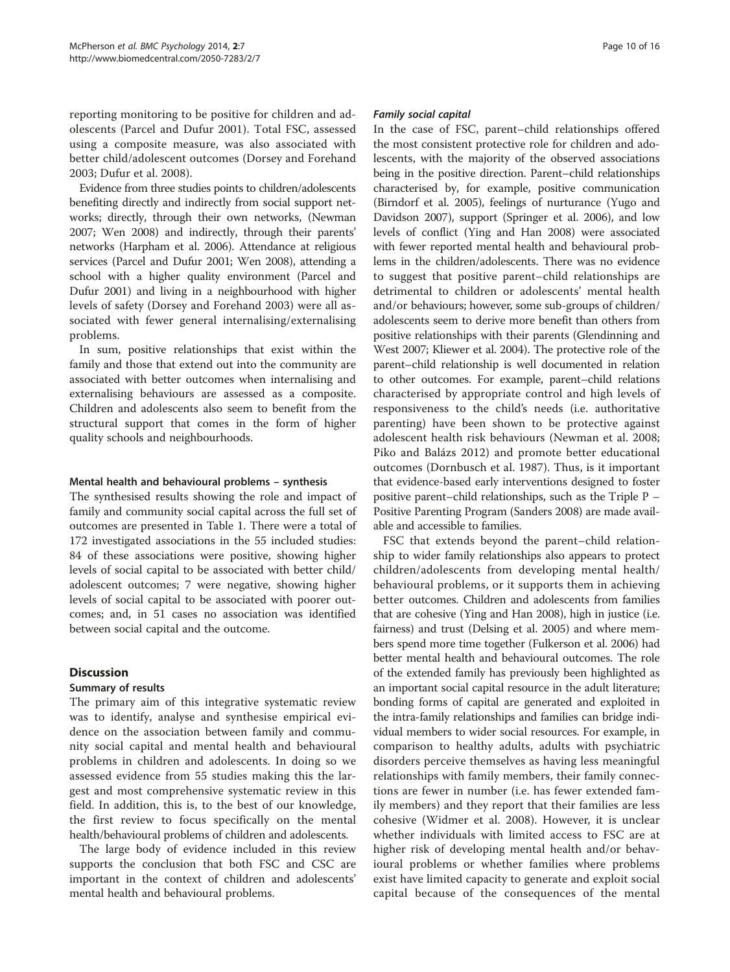reporting monitoring to be positive for children and adolescents (Parcel and Dufur [2001](#page-15-0)). Total FSC, assessed using a composite measure, was also associated with better child/adolescent outcomes (Dorsey and Forehand [2003;](#page-14-0) Dufur et al. [2008\)](#page-14-0).

Evidence from three studies points to children/adolescents benefiting directly and indirectly from social support networks; directly, through their own networks, (Newman [2007;](#page-15-0) Wen [2008\)](#page-15-0) and indirectly, through their parents' networks (Harpham et al. [2006](#page-14-0)). Attendance at religious services (Parcel and Dufur [2001;](#page-15-0) Wen [2008](#page-15-0)), attending a school with a higher quality environment (Parcel and Dufur [2001](#page-15-0)) and living in a neighbourhood with higher levels of safety (Dorsey and Forehand [2003\)](#page-14-0) were all associated with fewer general internalising/externalising problems.

In sum, positive relationships that exist within the family and those that extend out into the community are associated with better outcomes when internalising and externalising behaviours are assessed as a composite. Children and adolescents also seem to benefit from the structural support that comes in the form of higher quality schools and neighbourhoods.

#### Mental health and behavioural problems – synthesis

The synthesised results showing the role and impact of family and community social capital across the full set of outcomes are presented in Table [1.](#page-10-0) There were a total of 172 investigated associations in the 55 included studies: 84 of these associations were positive, showing higher levels of social capital to be associated with better child/ adolescent outcomes; 7 were negative, showing higher levels of social capital to be associated with poorer outcomes; and, in 51 cases no association was identified between social capital and the outcome.

#### **Discussion**

#### Summary of results

The primary aim of this integrative systematic review was to identify, analyse and synthesise empirical evidence on the association between family and community social capital and mental health and behavioural problems in children and adolescents. In doing so we assessed evidence from 55 studies making this the largest and most comprehensive systematic review in this field. In addition, this is, to the best of our knowledge, the first review to focus specifically on the mental health/behavioural problems of children and adolescents.

The large body of evidence included in this review supports the conclusion that both FSC and CSC are important in the context of children and adolescents' mental health and behavioural problems.

#### Family social capital

In the case of FSC, parent–child relationships offered the most consistent protective role for children and adolescents, with the majority of the observed associations being in the positive direction. Parent–child relationships characterised by, for example, positive communication (Birndorf et al. [2005](#page-13-0)), feelings of nurturance (Yugo and Davidson [2007\)](#page-15-0), support (Springer et al. [2006\)](#page-15-0), and low levels of conflict (Ying and Han [2008](#page-15-0)) were associated with fewer reported mental health and behavioural problems in the children/adolescents. There was no evidence to suggest that positive parent–child relationships are detrimental to children or adolescents' mental health and/or behaviours; however, some sub-groups of children/ adolescents seem to derive more benefit than others from positive relationships with their parents (Glendinning and West [2007;](#page-14-0) Kliewer et al. [2004](#page-14-0)). The protective role of the parent–child relationship is well documented in relation to other outcomes. For example, parent–child relations characterised by appropriate control and high levels of responsiveness to the child's needs (i.e. authoritative parenting) have been shown to be protective against adolescent health risk behaviours (Newman et al. [2008](#page-15-0); Piko and Balázs [2012](#page-15-0)) and promote better educational outcomes (Dornbusch et al. [1987](#page-14-0)). Thus, is it important that evidence-based early interventions designed to foster positive parent–child relationships, such as the Triple P – Positive Parenting Program (Sanders [2008](#page-15-0)) are made available and accessible to families.

FSC that extends beyond the parent–child relationship to wider family relationships also appears to protect children/adolescents from developing mental health/ behavioural problems, or it supports them in achieving better outcomes. Children and adolescents from families that are cohesive (Ying and Han [2008](#page-15-0)), high in justice (i.e. fairness) and trust (Delsing et al. [2005\)](#page-14-0) and where members spend more time together (Fulkerson et al. [2006\)](#page-14-0) had better mental health and behavioural outcomes. The role of the extended family has previously been highlighted as an important social capital resource in the adult literature; bonding forms of capital are generated and exploited in the intra-family relationships and families can bridge individual members to wider social resources. For example, in comparison to healthy adults, adults with psychiatric disorders perceive themselves as having less meaningful relationships with family members, their family connections are fewer in number (i.e. has fewer extended family members) and they report that their families are less cohesive (Widmer et al. [2008\)](#page-15-0). However, it is unclear whether individuals with limited access to FSC are at higher risk of developing mental health and/or behavioural problems or whether families where problems exist have limited capacity to generate and exploit social capital because of the consequences of the mental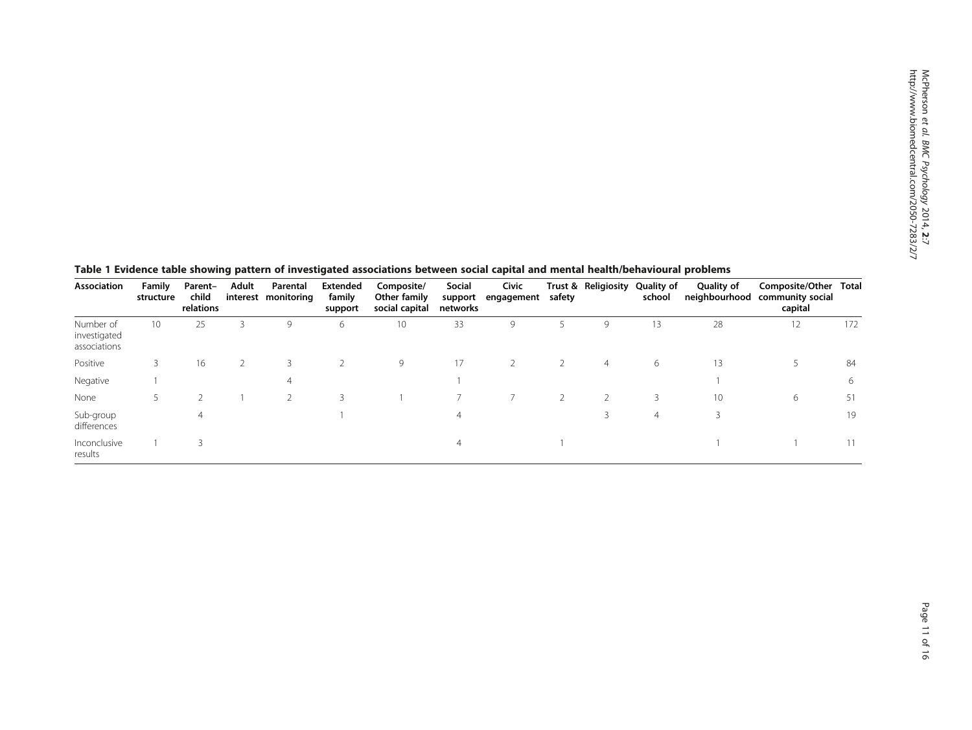| Association                               | Family<br>structure | Parent-<br>child<br>relations | Adult | Parental<br>interest monitoring | <b>Extended</b><br>family<br>support | Composite/<br>Other family<br>social capital | Social<br>support<br>networks | Civic<br>engagement | safety | Trust & Religiosity Quality of | school         | Quality of<br>neighbourhood | Composite/Other Total<br>community social<br>capital |     |
|-------------------------------------------|---------------------|-------------------------------|-------|---------------------------------|--------------------------------------|----------------------------------------------|-------------------------------|---------------------|--------|--------------------------------|----------------|-----------------------------|------------------------------------------------------|-----|
| Number of<br>investigated<br>associations | 10 <sup>°</sup>     | 25                            |       | 9                               | 6                                    | 10                                           | 33                            | 9                   |        | 9                              | 13             | 28                          | 12                                                   | 172 |
| Positive                                  |                     | 16                            |       | 3                               |                                      | 9                                            | 17                            |                     | 2      | $\overline{4}$                 | 6              | 13                          |                                                      | 84  |
| Negative                                  |                     |                               |       | 4                               |                                      |                                              |                               |                     |        |                                |                |                             |                                                      | 6   |
| None                                      |                     |                               |       |                                 |                                      |                                              |                               |                     |        |                                |                | 10                          | 6                                                    | 51  |
| Sub-group<br>differences                  |                     | 4                             |       |                                 |                                      |                                              | $\overline{4}$                |                     |        |                                | $\overline{4}$ | 3                           |                                                      | 19  |
| Inconclusive<br>results                   |                     |                               |       |                                 |                                      |                                              | 4                             |                     |        |                                |                |                             |                                                      | 11  |

<span id="page-10-0"></span>Table 1 Evidence table showing pattern of investigated associations between social capital and mental health/behavioural problems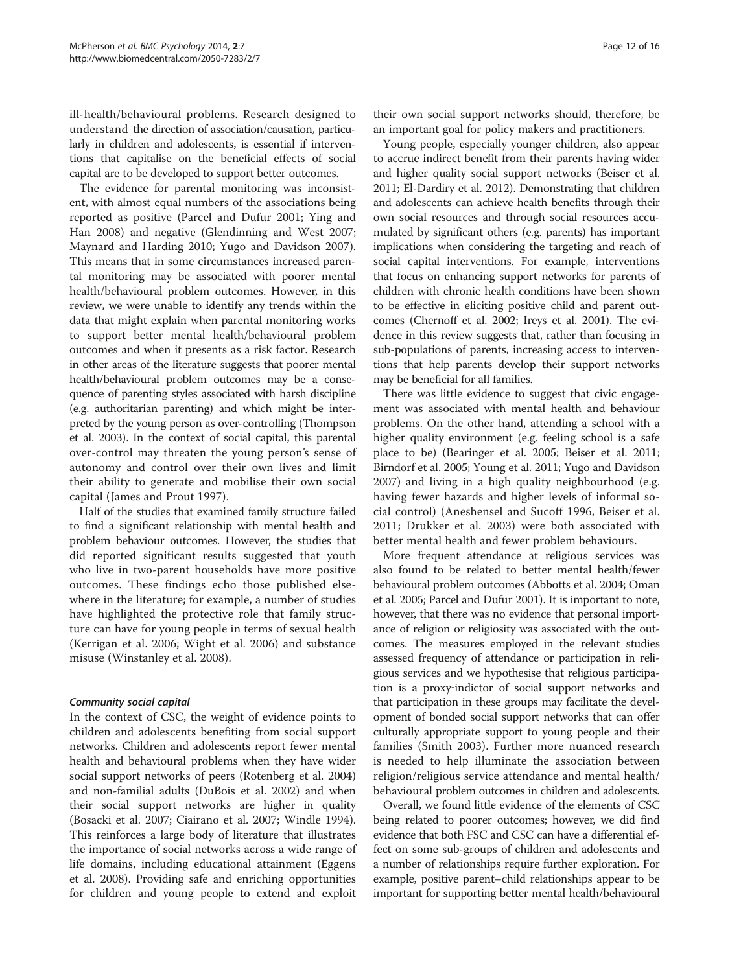ill-health/behavioural problems. Research designed to understand the direction of association/causation, particularly in children and adolescents, is essential if interventions that capitalise on the beneficial effects of social capital are to be developed to support better outcomes.

The evidence for parental monitoring was inconsistent, with almost equal numbers of the associations being reported as positive (Parcel and Dufur [2001](#page-15-0); Ying and Han [2008](#page-15-0)) and negative (Glendinning and West [2007](#page-14-0); Maynard and Harding [2010](#page-14-0); Yugo and Davidson [2007](#page-15-0)). This means that in some circumstances increased parental monitoring may be associated with poorer mental health/behavioural problem outcomes. However, in this review, we were unable to identify any trends within the data that might explain when parental monitoring works to support better mental health/behavioural problem outcomes and when it presents as a risk factor. Research in other areas of the literature suggests that poorer mental health/behavioural problem outcomes may be a consequence of parenting styles associated with harsh discipline (e.g. authoritarian parenting) and which might be interpreted by the young person as over-controlling (Thompson et al. [2003\)](#page-15-0). In the context of social capital, this parental over-control may threaten the young person's sense of autonomy and control over their own lives and limit their ability to generate and mobilise their own social capital (James and Prout [1997](#page-14-0)).

Half of the studies that examined family structure failed to find a significant relationship with mental health and problem behaviour outcomes. However, the studies that did reported significant results suggested that youth who live in two-parent households have more positive outcomes. These findings echo those published elsewhere in the literature; for example, a number of studies have highlighted the protective role that family structure can have for young people in terms of sexual health (Kerrigan et al. [2006](#page-14-0); Wight et al. [2006](#page-15-0)) and substance misuse (Winstanley et al. [2008](#page-15-0)).

#### Community social capital

In the context of CSC, the weight of evidence points to children and adolescents benefiting from social support networks. Children and adolescents report fewer mental health and behavioural problems when they have wider social support networks of peers (Rotenberg et al. [2004](#page-15-0)) and non-familial adults (DuBois et al. [2002\)](#page-14-0) and when their social support networks are higher in quality (Bosacki et al. [2007](#page-13-0); Ciairano et al. [2007](#page-13-0); Windle [1994](#page-15-0)). This reinforces a large body of literature that illustrates the importance of social networks across a wide range of life domains, including educational attainment (Eggens et al. [2008](#page-14-0)). Providing safe and enriching opportunities for children and young people to extend and exploit

their own social support networks should, therefore, be an important goal for policy makers and practitioners.

Young people, especially younger children, also appear to accrue indirect benefit from their parents having wider and higher quality social support networks (Beiser et al. [2011](#page-13-0); El-Dardiry et al. [2012\)](#page-14-0). Demonstrating that children and adolescents can achieve health benefits through their own social resources and through social resources accumulated by significant others (e.g. parents) has important implications when considering the targeting and reach of social capital interventions. For example, interventions that focus on enhancing support networks for parents of children with chronic health conditions have been shown to be effective in eliciting positive child and parent outcomes (Chernoff et al. [2002](#page-13-0); Ireys et al. [2001](#page-14-0)). The evidence in this review suggests that, rather than focusing in sub-populations of parents, increasing access to interventions that help parents develop their support networks may be beneficial for all families.

There was little evidence to suggest that civic engagement was associated with mental health and behaviour problems. On the other hand, attending a school with a higher quality environment (e.g. feeling school is a safe place to be) (Bearinger et al. [2005](#page-13-0); Beiser et al. [2011](#page-13-0); Birndorf et al. [2005;](#page-13-0) Young et al. [2011;](#page-15-0) Yugo and Davidson [2007](#page-15-0)) and living in a high quality neighbourhood (e.g. having fewer hazards and higher levels of informal social control) (Aneshensel and Sucoff [1996,](#page-13-0) Beiser et al. [2011;](#page-13-0) Drukker et al. [2003](#page-14-0)) were both associated with better mental health and fewer problem behaviours.

More frequent attendance at religious services was also found to be related to better mental health/fewer behavioural problem outcomes (Abbotts et al. [2004;](#page-13-0) Oman et al. [2005](#page-15-0); Parcel and Dufur [2001](#page-15-0)). It is important to note, however, that there was no evidence that personal importance of religion or religiosity was associated with the outcomes. The measures employed in the relevant studies assessed frequency of attendance or participation in religious services and we hypothesise that religious participation is a proxy‐indictor of social support networks and that participation in these groups may facilitate the development of bonded social support networks that can offer culturally appropriate support to young people and their families (Smith [2003](#page-15-0)). Further more nuanced research is needed to help illuminate the association between religion/religious service attendance and mental health/ behavioural problem outcomes in children and adolescents.

Overall, we found little evidence of the elements of CSC being related to poorer outcomes; however, we did find evidence that both FSC and CSC can have a differential effect on some sub-groups of children and adolescents and a number of relationships require further exploration. For example, positive parent–child relationships appear to be important for supporting better mental health/behavioural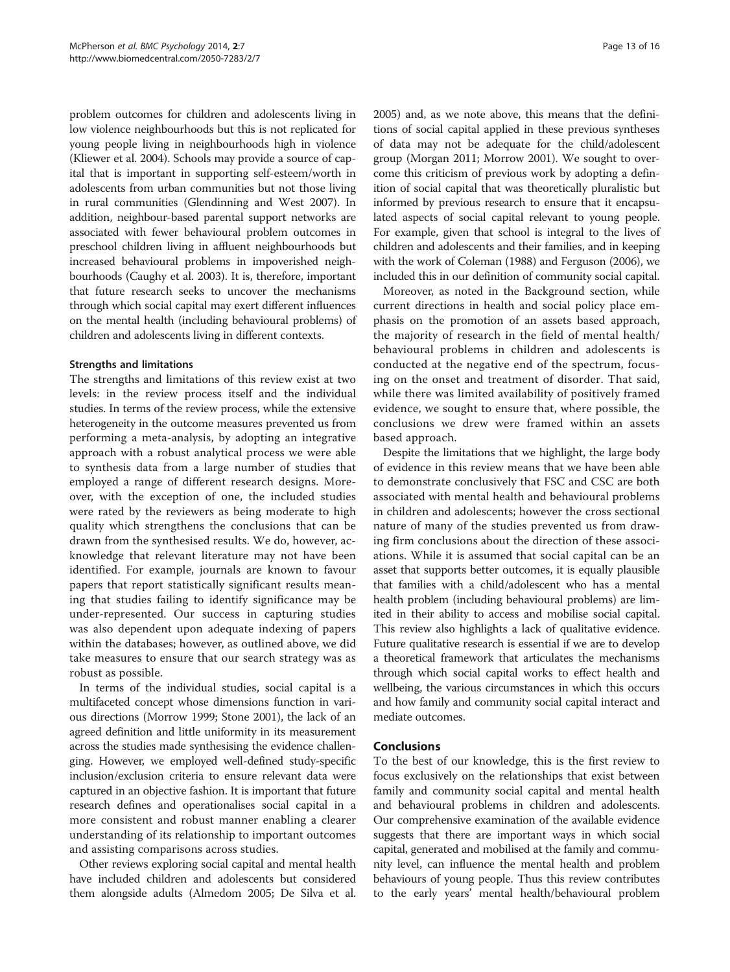problem outcomes for children and adolescents living in low violence neighbourhoods but this is not replicated for young people living in neighbourhoods high in violence (Kliewer et al. [2004\)](#page-14-0). Schools may provide a source of capital that is important in supporting self-esteem/worth in adolescents from urban communities but not those living in rural communities (Glendinning and West [2007](#page-14-0)). In addition, neighbour-based parental support networks are associated with fewer behavioural problem outcomes in preschool children living in affluent neighbourhoods but increased behavioural problems in impoverished neighbourhoods (Caughy et al. [2003](#page-13-0)). It is, therefore, important that future research seeks to uncover the mechanisms through which social capital may exert different influences on the mental health (including behavioural problems) of children and adolescents living in different contexts.

## Strengths and limitations

The strengths and limitations of this review exist at two levels: in the review process itself and the individual studies. In terms of the review process, while the extensive heterogeneity in the outcome measures prevented us from performing a meta-analysis, by adopting an integrative approach with a robust analytical process we were able to synthesis data from a large number of studies that employed a range of different research designs. Moreover, with the exception of one, the included studies were rated by the reviewers as being moderate to high quality which strengthens the conclusions that can be drawn from the synthesised results. We do, however, acknowledge that relevant literature may not have been identified. For example, journals are known to favour papers that report statistically significant results meaning that studies failing to identify significance may be under-represented. Our success in capturing studies was also dependent upon adequate indexing of papers within the databases; however, as outlined above, we did take measures to ensure that our search strategy was as robust as possible.

In terms of the individual studies, social capital is a multifaceted concept whose dimensions function in various directions (Morrow [1999](#page-14-0); Stone [2001\)](#page-15-0), the lack of an agreed definition and little uniformity in its measurement across the studies made synthesising the evidence challenging. However, we employed well-defined study-specific inclusion/exclusion criteria to ensure relevant data were captured in an objective fashion. It is important that future research defines and operationalises social capital in a more consistent and robust manner enabling a clearer understanding of its relationship to important outcomes and assisting comparisons across studies.

Other reviews exploring social capital and mental health have included children and adolescents but considered them alongside adults (Almedom [2005;](#page-13-0) De Silva et al. [2005](#page-13-0)) and, as we note above, this means that the definitions of social capital applied in these previous syntheses of data may not be adequate for the child/adolescent group (Morgan [2011](#page-14-0); Morrow [2001](#page-14-0)). We sought to overcome this criticism of previous work by adopting a definition of social capital that was theoretically pluralistic but informed by previous research to ensure that it encapsulated aspects of social capital relevant to young people. For example, given that school is integral to the lives of children and adolescents and their families, and in keeping with the work of Coleman [\(1988\)](#page-13-0) and Ferguson [\(2006\)](#page-14-0), we included this in our definition of community social capital.

Moreover, as noted in the Background section, while current directions in health and social policy place emphasis on the promotion of an assets based approach, the majority of research in the field of mental health/ behavioural problems in children and adolescents is conducted at the negative end of the spectrum, focusing on the onset and treatment of disorder. That said, while there was limited availability of positively framed evidence, we sought to ensure that, where possible, the conclusions we drew were framed within an assets based approach.

Despite the limitations that we highlight, the large body of evidence in this review means that we have been able to demonstrate conclusively that FSC and CSC are both associated with mental health and behavioural problems in children and adolescents; however the cross sectional nature of many of the studies prevented us from drawing firm conclusions about the direction of these associations. While it is assumed that social capital can be an asset that supports better outcomes, it is equally plausible that families with a child/adolescent who has a mental health problem (including behavioural problems) are limited in their ability to access and mobilise social capital. This review also highlights a lack of qualitative evidence. Future qualitative research is essential if we are to develop a theoretical framework that articulates the mechanisms through which social capital works to effect health and wellbeing, the various circumstances in which this occurs and how family and community social capital interact and mediate outcomes.

#### Conclusions

To the best of our knowledge, this is the first review to focus exclusively on the relationships that exist between family and community social capital and mental health and behavioural problems in children and adolescents. Our comprehensive examination of the available evidence suggests that there are important ways in which social capital, generated and mobilised at the family and community level, can influence the mental health and problem behaviours of young people. Thus this review contributes to the early years' mental health/behavioural problem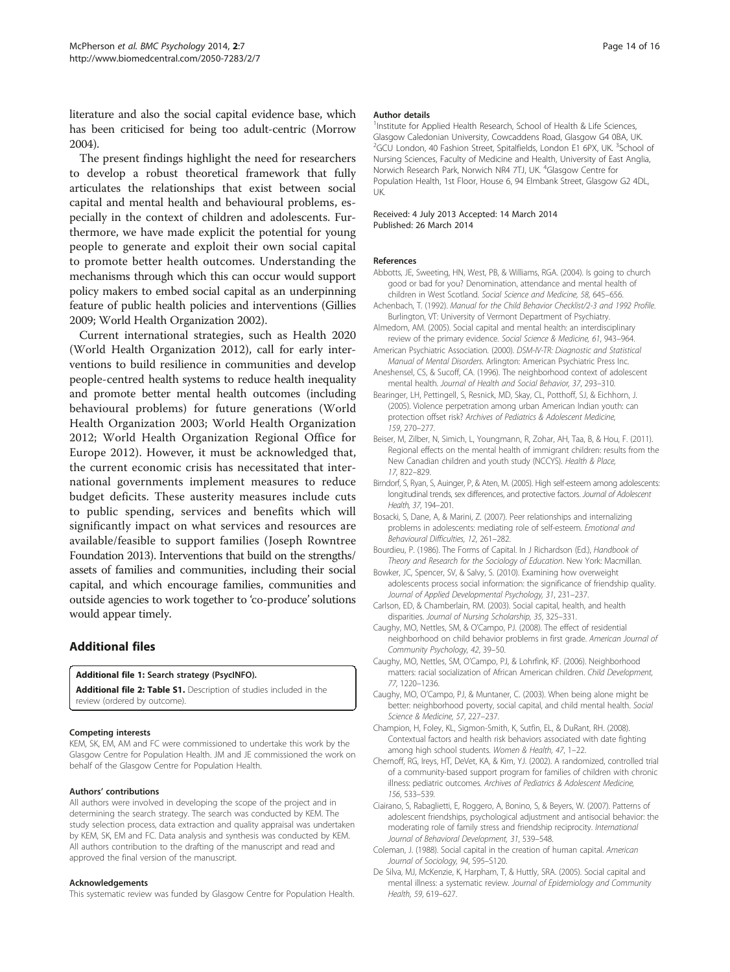<span id="page-13-0"></span>literature and also the social capital evidence base, which has been criticised for being too adult-centric (Morrow [2004\)](#page-14-0).

The present findings highlight the need for researchers to develop a robust theoretical framework that fully articulates the relationships that exist between social capital and mental health and behavioural problems, especially in the context of children and adolescents. Furthermore, we have made explicit the potential for young people to generate and exploit their own social capital to promote better health outcomes. Understanding the mechanisms through which this can occur would support policy makers to embed social capital as an underpinning feature of public health policies and interventions (Gillies [2009;](#page-14-0) World Health Organization [2002\)](#page-15-0).

Current international strategies, such as Health 2020 (World Health Organization [2012](#page-15-0)), call for early interventions to build resilience in communities and develop people-centred health systems to reduce health inequality and promote better mental health outcomes (including behavioural problems) for future generations (World Health Organization [2003](#page-15-0); World Health Organization [2012;](#page-15-0) World Health Organization Regional Office for Europe [2012](#page-15-0)). However, it must be acknowledged that, the current economic crisis has necessitated that international governments implement measures to reduce budget deficits. These austerity measures include cuts to public spending, services and benefits which will significantly impact on what services and resources are available/feasible to support families (Joseph Rowntree Foundation [2013\)](#page-14-0). Interventions that build on the strengths/ assets of families and communities, including their social capital, and which encourage families, communities and outside agencies to work together to 'co-produce' solutions would appear timely.

# Additional files

#### [Additional file 1:](http://www.biomedcentral.com/content/supplementary/2050-7283-2-7-S1.pdf) Search strategy (PsycINFO).

[Additional file 2: Table S1.](http://www.biomedcentral.com/content/supplementary/2050-7283-2-7-S2.pdf) Description of studies included in the review (ordered by outcome).

#### Competing interests

KEM, SK, EM, AM and FC were commissioned to undertake this work by the Glasgow Centre for Population Health. JM and JE commissioned the work on behalf of the Glasgow Centre for Population Health.

#### Authors' contributions

All authors were involved in developing the scope of the project and in determining the search strategy. The search was conducted by KEM. The study selection process, data extraction and quality appraisal was undertaken by KEM, SK, EM and FC. Data analysis and synthesis was conducted by KEM. All authors contribution to the drafting of the manuscript and read and approved the final version of the manuscript.

#### Acknowledgements

This systematic review was funded by Glasgow Centre for Population Health.

#### Author details

<sup>1</sup> Institute for Applied Health Research, School of Health & Life Sciences Glasgow Caledonian University, Cowcaddens Road, Glasgow G4 0BA, UK. <sup>2</sup>GCU London, 40 Fashion Street, Spitalfields, London E1 6PX, UK. <sup>3</sup>School of Nursing Sciences, Faculty of Medicine and Health, University of East Anglia, Norwich Research Park, Norwich NR4 7TJ, UK. <sup>4</sup>Glasgow Centre for Population Health, 1st Floor, House 6, 94 Elmbank Street, Glasgow G2 4DL, UK.

#### Received: 4 July 2013 Accepted: 14 March 2014 Published: 26 March 2014

#### References

- Abbotts, JE, Sweeting, HN, West, PB, & Williams, RGA. (2004). Is going to church good or bad for you? Denomination, attendance and mental health of children in West Scotland. Social Science and Medicine, 58, 645–656.
- Achenbach, T. (1992). Manual for the Child Behavior Checklist/2-3 and 1992 Profile. Burlington, VT: University of Vermont Department of Psychiatry.
- Almedom, AM. (2005). Social capital and mental health: an interdisciplinary review of the primary evidence. Social Science & Medicine, 61, 943–964.
- American Psychiatric Association. (2000). DSM-IV-TR: Diagnostic and Statistical Manual of Mental Disorders. Arlington: American Psychiatric Press Inc.
- Aneshensel, CS, & Sucoff, CA. (1996). The neighborhood context of adolescent mental health. Journal of Health and Social Behavior, 37, 293–310.
- Bearinger, LH, Pettingell, S, Resnick, MD, Skay, CL, Potthoff, SJ, & Eichhorn, J. (2005). Violence perpetration among urban American Indian youth: can protection offset risk? Archives of Pediatrics & Adolescent Medicine, 159, 270–277.
- Beiser, M, Zilber, N, Simich, L, Youngmann, R, Zohar, AH, Taa, B, & Hou, F. (2011). Regional effects on the mental health of immigrant children: results from the New Canadian children and youth study (NCCYS). Health & Place, 17, 822–829.
- Birndorf, S, Ryan, S, Auinger, P, & Aten, M. (2005). High self-esteem among adolescents: longitudinal trends, sex differences, and protective factors. Journal of Adolescent Health, 37, 194–201.
- Bosacki, S, Dane, A, & Marini, Z. (2007). Peer relationships and internalizing problems in adolescents: mediating role of self-esteem. Emotional and Behavioural Difficulties, 12, 261–282.
- Bourdieu, P. (1986). The Forms of Capital. In J Richardson (Ed.), Handbook of Theory and Research for the Sociology of Education. New York: Macmillan.
- Bowker, JC, Spencer, SV, & Salvy, S. (2010). Examining how overweight adolescents process social information: the significance of friendship quality. Journal of Applied Developmental Psychology, 31, 231–237.
- Carlson, ED, & Chamberlain, RM. (2003). Social capital, health, and health disparities. Journal of Nursing Scholarship, 35, 325–331.
- Caughy, MO, Nettles, SM, & O'Campo, PJ. (2008). The effect of residential neighborhood on child behavior problems in first grade. American Journal of Community Psychology, 42, 39–50.
- Caughy, MO, Nettles, SM, O'Campo, PJ, & Lohrfink, KF. (2006). Neighborhood matters: racial socialization of African American children. Child Development, 77, 1220–1236.
- Caughy, MO, O'Campo, PJ, & Muntaner, C. (2003). When being alone might be better: neighborhood poverty, social capital, and child mental health. Social Science & Medicine, 57, 227–237.
- Champion, H, Foley, KL, Sigmon-Smith, K, Sutfin, EL, & DuRant, RH. (2008). Contextual factors and health risk behaviors associated with date fighting among high school students. Women & Health, 47, 1–22.
- Chernoff, RG, Ireys, HT, DeVet, KA, & Kim, YJ. (2002). A randomized, controlled trial of a community-based support program for families of children with chronic illness: pediatric outcomes. Archives of Pediatrics & Adolescent Medicine, 156, 533–539.
- Ciairano, S, Rabaglietti, E, Roggero, A, Bonino, S, & Beyers, W. (2007). Patterns of adolescent friendships, psychological adjustment and antisocial behavior: the moderating role of family stress and friendship reciprocity. International Journal of Behavioral Development, 31, 539–548.
- Coleman, J. (1988). Social capital in the creation of human capital. American Journal of Sociology, 94, S95–S120.
- De Silva, MJ, McKenzie, K, Harpham, T, & Huttly, SRA. (2005). Social capital and mental illness: a systematic review. Journal of Epidemiology and Community Health, 59, 619–627.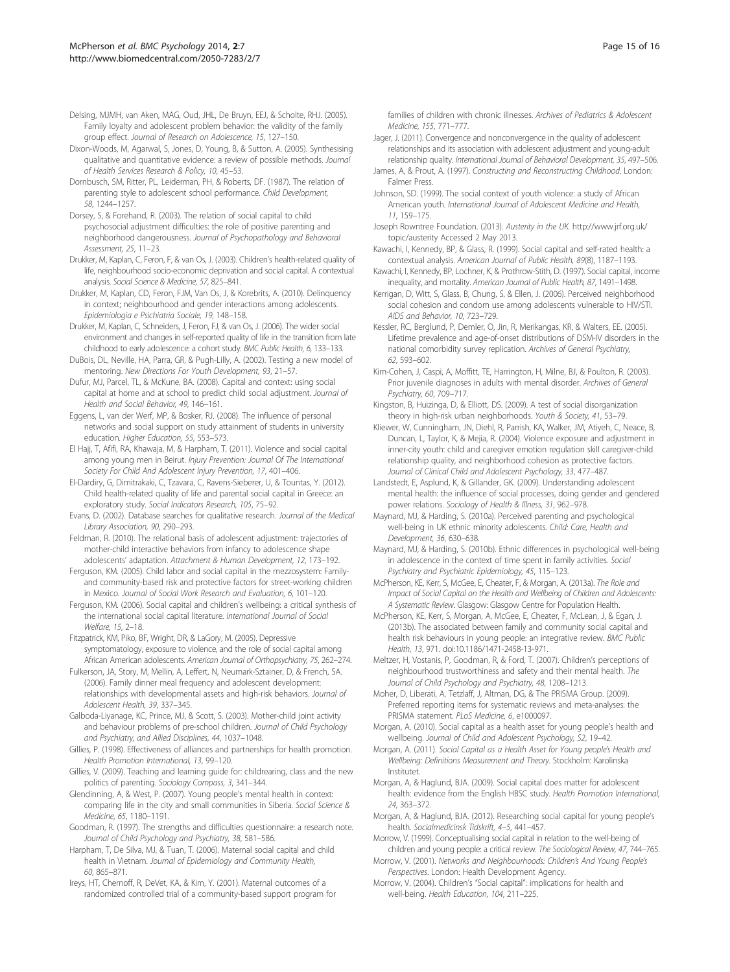- <span id="page-14-0"></span>Delsing, MJMH, van Aken, MAG, Oud, JHL, De Bruyn, EEJ, & Scholte, RHJ. (2005). Family loyalty and adolescent problem behavior: the validity of the family group effect. Journal of Research on Adolescence, 15, 127–150.
- Dixon-Woods, M, Agarwal, S, Jones, D, Young, B, & Sutton, A. (2005). Synthesising qualitative and quantitative evidence: a review of possible methods. Journal of Health Services Research & Policy, 10, 45–53.
- Dornbusch, SM, Ritter, PL, Leiderman, PH, & Roberts, DF. (1987). The relation of parenting style to adolescent school performance. Child Development, 58, 1244–1257.
- Dorsey, S, & Forehand, R. (2003). The relation of social capital to child psychosocial adjustment difficulties: the role of positive parenting and neighborhood dangerousness. Journal of Psychopathology and Behavioral Assessment, 25, 11–23.
- Drukker, M, Kaplan, C, Feron, F, & van Os, J. (2003). Children's health-related quality of life, neighbourhood socio-economic deprivation and social capital. A contextual analysis. Social Science & Medicine, 57, 825–841.
- Drukker, M, Kaplan, CD, Feron, FJM, Van Os, J, & Korebrits, A. (2010). Delinquency in context; neighbourhood and gender interactions among adolescents. Epidemiologia e Psichiatria Sociale, 19, 148–158.
- Drukker, M, Kaplan, C, Schneiders, J, Feron, FJ, & van Os, J. (2006). The wider social environment and changes in self-reported quality of life in the transition from late childhood to early adolescence: a cohort study. BMC Public Health, 6, 133–133.
- DuBois, DL, Neville, HA, Parra, GR, & Pugh-Lilly, A. (2002). Testing a new model of mentoring. New Directions For Youth Development, 93, 21–57.
- Dufur, MJ, Parcel, TL, & McKune, BA. (2008). Capital and context: using social capital at home and at school to predict child social adjustment. Journal of Health and Social Behavior, 49, 146–161.
- Eggens, L, van der Werf, MP, & Bosker, RJ. (2008). The influence of personal networks and social support on study attainment of students in university education. Higher Education, 55, 553–573.
- El Hajj, T, Afifi, RA, Khawaja, M, & Harpham, T. (2011). Violence and social capital among young men in Beirut. Injury Prevention: Journal Of The International Society For Child And Adolescent Injury Prevention, 17, 401–406.
- El-Dardiry, G, Dimitrakaki, C, Tzavara, C, Ravens-Sieberer, U, & Tountas, Y. (2012). Child health-related quality of life and parental social capital in Greece: an exploratory study. Social Indicators Research, 105, 75–92.
- Evans, D. (2002). Database searches for qualitative research. Journal of the Medical Library Association, 90, 290–293.
- Feldman, R. (2010). The relational basis of adolescent adjustment: trajectories of mother-child interactive behaviors from infancy to adolescence shape adolescents' adaptation. Attachment & Human Development, 12, 173–192.
- Ferguson, KM. (2005). Child labor and social capital in the mezzosystem: Familyand community-based risk and protective factors for street-working children in Mexico. Journal of Social Work Research and Evaluation, 6, 101–120.
- Ferguson, KM. (2006). Social capital and children's wellbeing: a critical synthesis of the international social capital literature. International Journal of Social Welfare, 15, 2–18.
- Fitzpatrick, KM, Piko, BF, Wright, DR, & LaGory, M. (2005). Depressive symptomatology, exposure to violence, and the role of social capital among African American adolescents. American Journal of Orthopsychiatry, 75, 262–274.
- Fulkerson, JA, Story, M, Mellin, A, Leffert, N, Neumark-Sztainer, D, & French, SA. (2006). Family dinner meal frequency and adolescent development: relationships with developmental assets and high-risk behaviors. Journal of Adolescent Health, 39, 337–345.
- Galboda-Liyanage, KC, Prince, MJ, & Scott, S. (2003). Mother-child joint activity and behaviour problems of pre-school children. Journal of Child Psychology and Psychiatry, and Allied Disciplines, 44, 1037–1048.
- Gillies, P. (1998). Effectiveness of alliances and partnerships for health promotion. Health Promotion International, 13, 99–120.
- Gillies, V. (2009). Teaching and learning guide for: childrearing, class and the new politics of parenting. Sociology Compass, 3, 341–344.
- Glendinning, A, & West, P. (2007). Young people's mental health in context: comparing life in the city and small communities in Siberia. Social Science & Medicine, 65, 1180–1191.
- Goodman, R. (1997). The strengths and difficulties questionnaire: a research note. Journal of Child Psychology and Psychiatry, 38, 581–586.
- Harpham, T, De Silva, MJ, & Tuan, T. (2006). Maternal social capital and child health in Vietnam. Journal of Epidemiology and Community Health, 60, 865–871.
- Ireys, HT, Chernoff, R, DeVet, KA, & Kim, Y. (2001). Maternal outcomes of a randomized controlled trial of a community-based support program for

families of children with chronic illnesses. Archives of Pediatrics & Adolescent Medicine, 155, 771–777.

Jager, J. (2011). Convergence and nonconvergence in the quality of adolescent relationships and its association with adolescent adjustment and young-adult relationship quality. International Journal of Behavioral Development, 35, 497–506.

- James, A, & Prout, A. (1997). Constructing and Reconstructing Childhood. London: Falmer Press.
- Johnson, SD. (1999). The social context of youth violence: a study of African American youth. International Journal of Adolescent Medicine and Health, 11, 159–175.
- Joseph Rowntree Foundation. (2013). Austerity in the UK. [http://www.jrf.org.uk/](http://www.jrf.org.uk/topic/austerity) [topic/austerity](http://www.jrf.org.uk/topic/austerity) Accessed 2 May 2013.
- Kawachi, I, Kennedy, BP, & Glass, R. (1999). Social capital and self-rated health: a contextual analysis. American Journal of Public Health, 89(8), 1187–1193.
- Kawachi, I, Kennedy, BP, Lochner, K, & Prothrow-Stith, D. (1997). Social capital, income inequality, and mortality. American Journal of Public Health, 87, 1491–1498.
- Kerrigan, D, Witt, S, Glass, B, Chung, S, & Ellen, J. (2006). Perceived neighborhood social cohesion and condom use among adolescents vulnerable to HIV/STI. AIDS and Behavior, 10, 723–729.
- Kessler, RC, Berglund, P, Demler, O, Jin, R, Merikangas, KR, & Walters, EE. (2005). Lifetime prevalence and age-of-onset distributions of DSM-IV disorders in the national comorbidity survey replication. Archives of General Psychiatry, 62, 593–602.
- Kim-Cohen, J, Caspi, A, Moffitt, TE, Harrington, H, Milne, BJ, & Poulton, R. (2003). Prior juvenile diagnoses in adults with mental disorder. Archives of General Psychiatry, 60, 709–717.
- Kingston, B, Huizinga, D, & Elliott, DS. (2009). A test of social disorganization theory in high-risk urban neighborhoods. Youth & Society, 41, 53–79.
- Kliewer, W, Cunningham, JN, Diehl, R, Parrish, KA, Walker, JM, Atiyeh, C, Neace, B, Duncan, L, Taylor, K, & Mejia, R. (2004). Violence exposure and adjustment in inner-city youth: child and caregiver emotion regulation skill caregiver-child relationship quality, and neighborhood cohesion as protective factors. Journal of Clinical Child and Adolescent Psychology, 33, 477–487.
- Landstedt, E, Asplund, K, & Gillander, GK. (2009). Understanding adolescent mental health: the influence of social processes, doing gender and gendered power relations. Sociology of Health & Illness, 31, 962–978.
- Maynard, MJ, & Harding, S. (2010a). Perceived parenting and psychological well-being in UK ethnic minority adolescents. Child: Care, Health and Development, 36, 630–638.
- Maynard, MJ, & Harding, S. (2010b). Ethnic differences in psychological well-being in adolescence in the context of time spent in family activities. Social Psychiatry and Psychiatric Epidemiology, 45, 115–123.
- McPherson, KE, Kerr, S, McGee, E, Cheater, F, & Morgan, A. (2013a). The Role and Impact of Social Capital on the Health and Wellbeing of Children and Adolescents: A Systematic Review. Glasgow: Glasgow Centre for Population Health.
- McPherson, KE, Kerr, S, Morgan, A, McGee, E, Cheater, F, McLean, J, & Egan, J. (2013b). The associated between family and community social capital and health risk behaviours in young people: an integrative review. BMC Public Health, 13, 971. doi:10.1186/1471-2458-13-971.
- Meltzer, H, Vostanis, P, Goodman, R, & Ford, T. (2007). Children's perceptions of neighbourhood trustworthiness and safety and their mental health. The Journal of Child Psychology and Psychiatry, 48, 1208–1213.
- Moher, D, Liberati, A, Tetzlaff, J, Altman, DG, & The PRISMA Group. (2009). Preferred reporting items for systematic reviews and meta-analyses: the PRISMA statement. PLoS Medicine, 6, e1000097.
- Morgan, A. (2010). Social capital as a health asset for young people's health and wellbeing. Journal of Child and Adolescent Psychology, S2, 19–42.
- Morgan, A. (2011). Social Capital as a Health Asset for Young people's Health and Wellbeing: Definitions Measurement and Theory. Stockholm: Karolinska Institutet.
- Morgan, A, & Haglund, BJA. (2009). Social capital does matter for adolescent health: evidence from the English HBSC study. Health Promotion International, 24, 363–372.
- Morgan, A, & Haglund, BJA. (2012). Researching social capital for young people's health. Socialmedicinsk Tidskrift, 4–5, 441–457.
- Morrow, V. (1999). Conceptualising social capital in relation to the well-being of children and young people: a critical review. The Sociological Review, 47, 744–765. Morrow, V. (2001). Networks and Neighbourhoods: Children's And Young People's
- Perspectives. London: Health Development Agency.
- Morrow, V. (2004). Children's "Social capital": implications for health and well-being. Health Education, 104, 211–225.